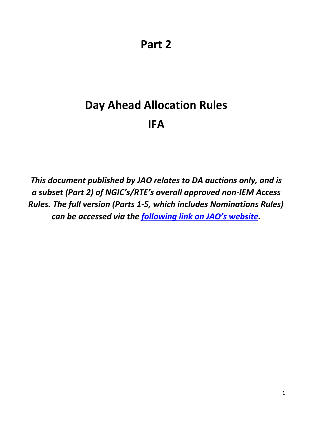**Part 2** 

# **Day Ahead Allocation Rules IFA**

*This document published by JAO relates to DA auctions only, and is a subset (Part 2) of NGIC's/RTE's overall approved non-IEM Access Rules. The full version (Parts 1-5, which includes Nominations Rules) can be accessed via the [following](http://www.jao.eu/support/resourcecenter/overview?parameters=%7B%22IsIFA%22%3A%22True%22%7D) [link](http://www.jao.eu/support/resourcecenter/overview?parameters=%7B%22IsIFA%22%3A%22True%22%7D) [on JAO's website.](http://www.jao.eu/support/resourcecenter/overview?parameters=%7B%22IsIFA%22%3A%22True%22%7D)*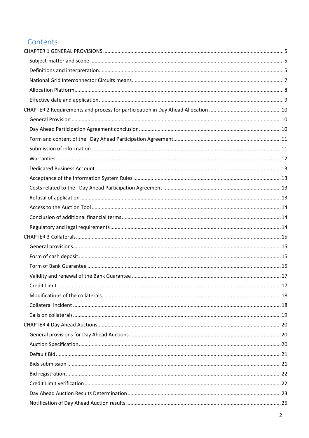# Contents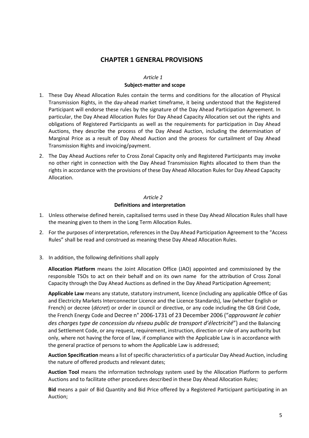# **CHAPTER 1 GENERAL PROVISIONS**

#### *Article 1* **Subject-matter and scope**

- <span id="page-4-1"></span><span id="page-4-0"></span>1. These Day Ahead Allocation Rules contain the terms and conditions for the allocation of Physical Transmission Rights, in the day-ahead market timeframe, it being understood that the Registered Participant will endorse these rules by the signature of the Day Ahead Participation Agreement. In particular, the Day Ahead Allocation Rules for Day Ahead Capacity Allocation set out the rights and obligations of Registered Participants as well as the requirements for participation in Day Ahead Auctions, they describe the process of the Day Ahead Auction, including the determination of Marginal Price as a result of Day Ahead Auction and the process for curtailment of Day Ahead Transmission Rights and invoicing/payment.
- 2. The Day Ahead Auctions refer to Cross Zonal Capacity only and Registered Participants may invoke no other right in connection with the Day Ahead Transmission Rights allocated to them than the rights in accordance with the provisions of these Day Ahead Allocation Rules for Day Ahead Capacity Allocation.

# *Article 2* **Definitions and interpretation**

- <span id="page-4-2"></span>1. Unless otherwise defined herein, capitalised terms used in these Day Ahead Allocation Rules shall have the meaning given to them in the Long Term Allocation Rules.
- 2. For the purposes of interpretation, references in the Day Ahead Participation Agreement to the "Access Rules" shall be read and construed as meaning these Day Ahead Allocation Rules.
- 3. In addition, the following definitions shall apply

**Allocation Platform** means the Joint Allocation Office (JAO) appointed and commissioned by the responsible TSOs to act on their behalf and on its own name for the attribution of Cross Zonal Capacity through the Day Ahead Auctions as defined in the Day Ahead Participation Agreement;

**Applicable Law** means any statute, statutory instrument, licence (including any applicable Office of Gas and Electricity Markets Interconnector Licence and the Licence Standards), law (whether English or French) or decree (*décret*) or order in council or directive, or any code including the GB Grid Code, the French Energy Code and Decree n° 2006-1731 of 23 December 2006 ("*approuvant le cahier des charges type de concession du réseau public de transport d'électricité*") and the Balancing and Settlement Code, or any request, requirement, instruction, direction or rule of any authority but only, where not having the force of law, if compliance with the Applicable Law is in accordance with the general practice of persons to whom the Applicable Law is addressed;

**Auction Specification** means a list of specific characteristics of a particular Day Ahead Auction, including the nature of offered products and relevant dates;

**Auction Tool** means the information technology system used by the Allocation Platform to perform Auctions and to facilitate other procedures described in these Day Ahead Allocation Rules;

**Bid** means a pair of Bid Quantity and Bid Price offered by a Registered Participant participating in an Auction;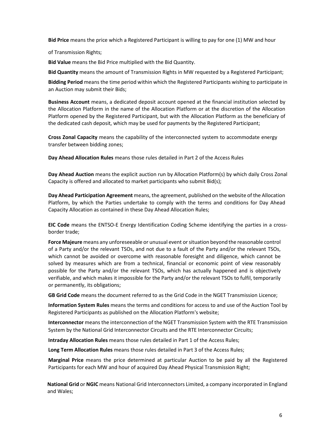**Bid Price** means the price which a Registered Participant is willing to pay for one (1) MW and hour

of Transmission Rights;

**Bid Value** means the Bid Price multiplied with the Bid Quantity.

**Bid Quantity** means the amount of Transmission Rights in MW requested by a Registered Participant;

**Bidding Period** means the time period within which the Registered Participants wishing to participate in an Auction may submit their Bids;

**Business Account** means, a dedicated deposit account opened at the financial institution selected by the Allocation Platform in the name of the Allocation Platform or at the discretion of the Allocation Platform opened by the Registered Participant, but with the Allocation Platform as the beneficiary of the dedicated cash deposit, which may be used for payments by the Registered Participant;

**Cross Zonal Capacity** means the capability of the interconnected system to accommodate energy transfer between bidding zones;

**Day Ahead Allocation Rules** means those rules detailed in Part 2 of the Access Rules

**Day Ahead Auction** means the explicit auction run by Allocation Platform(s) by which daily Cross Zonal Capacity is offered and allocated to market participants who submit Bid(s);

**Day Ahead Participation Agreement** means, the agreement, published on the website of the Allocation Platform, by which the Parties undertake to comply with the terms and conditions for Day Ahead Capacity Allocation as contained in these Day Ahead Allocation Rules;

**EIC Code** means the ENTSO-E Energy Identification Coding Scheme identifying the parties in a crossborder trade;

**Force Majeure** means any unforeseeable or unusual event or situation beyond the reasonable control of a Party and/or the relevant TSOs, and not due to a fault of the Party and/or the relevant TSOs, which cannot be avoided or overcome with reasonable foresight and diligence, which cannot be solved by measures which are from a technical, financial or economic point of view reasonably possible for the Party and/or the relevant TSOs, which has actually happened and is objectively verifiable, and which makes it impossible for the Party and/or the relevant TSOs to fulfil, temporarily or permanently, its obligations;

**GB Grid Code** means the document referred to as the Grid Code in the NGET Transmission Licence;

**Information System Rules** means the terms and conditions for access to and use of the Auction Tool by Registered Participants as published on the Allocation Platform's website;

**Interconnector** means the interconnection of the NGET Transmission System with the RTE Transmission System by the National Grid Interconnector Circuits and the RTE Interconnector Circuits;

**Intraday Allocation Rules** means those rules detailed in Part 1 of the Access Rules;

**Long Term Allocation Rules** means those rules detailed in Part 3 of the Access Rules;

**Marginal Price** means the price determined at particular Auction to be paid by all the Registered Participants for each MW and hour of acquired Day Ahead Physical Transmission Right;

**National Grid** or **NGIC** means National Grid Interconnectors Limited, a company incorporated in England and Wales;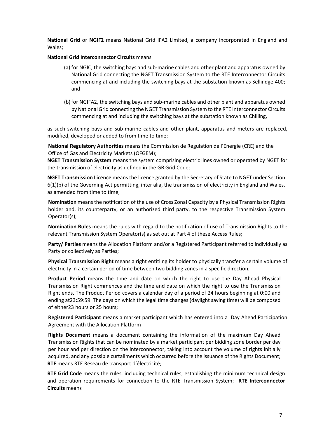**National Grid** or **NGIF2** means National Grid IFA2 Limited, a company incorporated in England and Wales;

#### <span id="page-6-0"></span>**National Grid Interconnector Circuits** means

- (a) for NGIC, the switching bays and sub-marine cables and other plant and apparatus owned by National Grid connecting the NGET Transmission System to the RTE Interconnector Circuits commencing at and including the switching bays at the substation known as Sellindge 400; and
- (b) for NGIFA2, the switching bays and sub-marine cables and other plant and apparatus owned by National Grid connecting the NGET Transmission System to the RTE Interconnector Circuits commencing at and including the switching bays at the substation known as Chilling,

as such switching bays and sub-marine cables and other plant, apparatus and meters are replaced, modified, developed or added to from time to time;

**National Regulatory Authorities** means the Commission de Régulation de l'Energie (CRE) and the Office of Gas and Electricity Markets (OFGEM);

**NGET Transmission System** means the system comprising electric lines owned or operated by NGET for the transmission of electricity as defined in the GB Grid Code;

**NGET Transmission Licence** means the licence granted by the Secretary of State to NGET under Section 6(1)(b) of the Governing Act permitting, inter alia, the transmission of electricity in England and Wales, as amended from time to time;

**Nomination** means the notification of the use of Cross Zonal Capacity by a Physical Transmission Rights holder and, its counterparty, or an authorized third party, to the respective Transmission System Operator(s);

**Nomination Rules** means the rules with regard to the notification of use of Transmission Rights to the relevant Transmission System Operator(s) as set out at Part 4 of these Access Rules;

**Party/ Parties** means the Allocation Platform and/or a Registered Participant referred to individually as Party or collectively as Parties;

**Physical Transmission Right** means a right entitling its holder to physically transfer a certain volume of electricity in a certain period of time between two bidding zones in a specific direction;

**Product Period** means the time and date on which the right to use the Day Ahead Physical Transmission Right commences and the time and date on which the right to use the Transmission Right ends. The Product Period covers a calendar day of a period of 24 hours beginning at 0:00 and ending at23:59:59. The days on which the legal time changes (daylight saving time) will be composed of either23 hours or 25 hours;

**Registered Participant** means a market participant which has entered into a Day Ahead Participation Agreement with the Allocation Platform

**Rights Document** means a document containing the information of the maximum Day Ahead Transmission Rights that can be nominated by a market participant per bidding zone border per day per hour and per direction on the interconnector, taking into account the volume of rights initially acquired, and any possible curtailments which occurred before the issuance of the Rights Document; **RTE** means RTE Réseau de transport d'électricité;

**RTE Grid Code** means the rules, including technical rules, establishing the minimum technical design and operation requirements for connection to the RTE Transmission System; **RTE Interconnector Circuits** means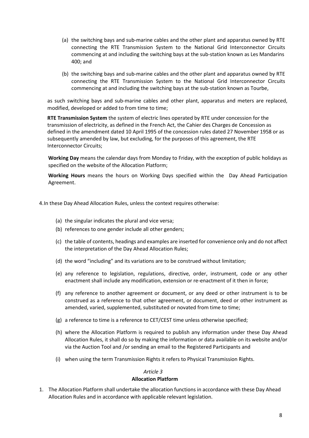- (a) the switching bays and sub-marine cables and the other plant and apparatus owned by RTE connecting the RTE Transmission System to the National Grid Interconnector Circuits commencing at and including the switching bays at the sub-station known as Les Mandarins 400; and
- (b) the switching bays and sub-marine cables and the other plant and apparatus owned by RTE connecting the RTE Transmission System to the National Grid Interconnector Circuits commencing at and including the switching bays at the sub-station known as Tourbe,

as such switching bays and sub-marine cables and other plant, apparatus and meters are replaced, modified, developed or added to from time to time;

**RTE Transmission System** the system of electric lines operated by RTE under concession for the transmission of electricity, as defined in the French Act, the Cahier des Charges de Concession as defined in the amendment dated 10 April 1995 of the concession rules dated 27 November 1958 or as subsequently amended by law, but excluding, for the purposes of this agreement, the RTE Interconnector Circuits;

**Working Day** means the calendar days from Monday to Friday, with the exception of public holidays as specified on the website of the Allocation Platform;

**Working Hours** means the hours on Working Days specified within the Day Ahead Participation Agreement.

4.In these Day Ahead Allocation Rules, unless the context requires otherwise:

- (a) the singular indicates the plural and vice versa;
- (b) references to one gender include all other genders;
- (c) the table of contents, headings and examples are inserted for convenience only and do not affect the interpretation of the Day Ahead Allocation Rules;
- (d) the word "including" and its variations are to be construed without limitation;
- (e) any reference to legislation, regulations, directive, order, instrument, code or any other enactment shall include any modification, extension or re-enactment of it then in force;
- (f) any reference to another agreement or document, or any deed or other instrument is to be construed as a reference to that other agreement, or document, deed or other instrument as amended, varied, supplemented, substituted or novated from time to time;
- (g) a reference to time is a reference to CET/CEST time unless otherwise specified;
- (h) where the Allocation Platform is required to publish any information under these Day Ahead Allocation Rules, it shall do so by making the information or data available on its website and/or via the Auction Tool and /or sending an email to the Registered Participants and
- (i) when using the term Transmission Rights it refers to Physical Transmission Rights.

#### *Article 3*

#### **Allocation Platform**

<span id="page-7-0"></span>1. The Allocation Platform shall undertake the allocation functions in accordance with these Day Ahead Allocation Rules and in accordance with applicable relevant legislation.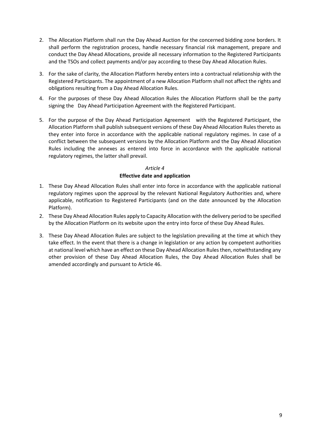- 2. The Allocation Platform shall run the Day Ahead Auction for the concerned bidding zone borders. It shall perform the registration process, handle necessary financial risk management, prepare and conduct the Day Ahead Allocations, provide all necessary information to the Registered Participants and the TSOs and collect payments and/or pay according to these Day Ahead Allocation Rules.
- 3. For the sake of clarity, the Allocation Platform hereby enters into a contractual relationship with the Registered Participants. The appointment of a new Allocation Platform shall not affect the rights and obligations resulting from a Day Ahead Allocation Rules.
- 4. For the purposes of these Day Ahead Allocation Rules the Allocation Platform shall be the party signing the Day Ahead Participation Agreement with the Registered Participant.
- 5. For the purpose of the Day Ahead Participation Agreement with the Registered Participant, the Allocation Platform shall publish subsequent versions of these Day Ahead Allocation Rules thereto as they enter into force in accordance with the applicable national regulatory regimes. In case of a conflict between the subsequent versions by the Allocation Platform and the Day Ahead Allocation Rules including the annexes as entered into force in accordance with the applicable national regulatory regimes, the latter shall prevail.

#### **Effective date and application**

- <span id="page-8-0"></span>1. These Day Ahead Allocation Rules shall enter into force in accordance with the applicable national regulatory regimes upon the approval by the relevant National Regulatory Authorities and, where applicable, notification to Registered Participants (and on the date announced by the Allocation Platform).
- 2. These Day Ahead Allocation Rules apply to Capacity Allocation with the delivery period to be specified by the Allocation Platform on its website upon the entry into force of these Day Ahead Rules.
- 3. These Day Ahead Allocation Rules are subject to the legislation prevailing at the time at which they take effect. In the event that there is a change in legislation or any action by competent authorities at national level which have an effect on these Day Ahead Allocation Rules then, notwithstanding any other provision of these Day Ahead Allocation Rules, the Day Ahead Allocation Rules shall be amended accordingly and pursuant to Article 46.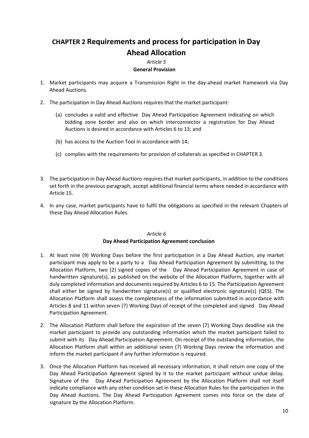# <span id="page-9-0"></span>**CHAPTER 2 Requirements and process for participation in Day Ahead Allocation**

# *Article 5* **General Provision**

- <span id="page-9-1"></span>1. Market participants may acquire a Transmission Right in the day-ahead market framework via Day Ahead Auctions.
- 2. The participation in Day Ahead Auctions requires that the market participant:
	- (a) concludes a valid and effective Day Ahead Participation Agreement indicating on which bidding zone border and also on which interconnector a registration for Day Ahead Auctions is desired in accordance with Articles 6 to 13; and
	- (b) has access to the Auction Tool in accordance with 14;
	- (c) complies with the requirements for provision of collaterals as specified in CHAPTER 3.
- 3. The participation in Day Ahead Auctions requires that market participants, in addition to the conditions set forth in the previous paragraph, accept additional financial terms where needed in accordance with Article 15.
- 4. In any case, market participants have to fulfil the obligations as specified in the relevant Chapters of these Day Ahead Allocation Rules.

#### *Article 6*

#### <span id="page-9-2"></span>**Day Ahead Participation Agreement conclusion**

- 1. At least nine (9) Working Days before the first participation in a Day Ahead Auction, any market participant may apply to be a party to a Day Ahead Participation Agreement by submitting, to the Allocation Platform, two (2) signed copies of the Day Ahead Participation Agreement in case of handwritten signature(s), as published on the website of the Allocation Platform, together with all duly completed information and documents required by Articles 6 to 15. The Participation Agreement shall either be signed by handwritten signature(s) or qualified electronic signature(s) (QES). The Allocation Platform shall assess the completeness of the information submitted in accordance with Articles 8 and 11 within seven (7) Working Days of receipt of the completed and signed Day Ahead Participation Agreement.
- 2. The Allocation Platform shall before the expiration of the seven (7) Working Days deadline ask the market participant to provide any outstanding information which the market participant failed to submit with its Day Ahead Participation Agreement. On receipt of the outstanding information, the Allocation Platform shall within an additional seven (7) Working Days review the information and inform the market participant if any further information is required.
- 3. Once the Allocation Platform has received all necessary information, it shall return one copy of the Day Ahead Participation Agreement signed by it to the market participant without undue delay. Signature of the Day Ahead Participation Agreement by the Allocation Platform shall not itself indicate compliance with any other condition set in these Allocation Rules for the participation in the Day Ahead Auctions. The Day Ahead Participation Agreement comes into force on the date of signature by the Allocation Platform.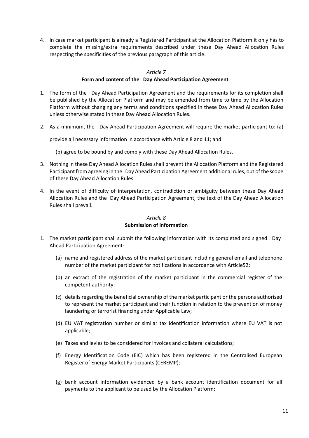4. In case market participant is already a Registered Participant at the Allocation Platform it only has to complete the missing/extra requirements described under these Day Ahead Allocation Rules respecting the specificities of the previous paragraph of this article.

#### *Article 7*

#### **Form and content of the Day Ahead Participation Agreement**

- <span id="page-10-0"></span>1. The form of the Day Ahead Participation Agreement and the requirements for its completion shall be published by the Allocation Platform and may be amended from time to time by the Allocation Platform without changing any terms and conditions specified in these Day Ahead Allocation Rules unless otherwise stated in these Day Ahead Allocation Rules.
- 2. As a minimum, the Day Ahead Participation Agreement will require the market participant to: (a)

provide all necessary information in accordance with Article 8 and 11; and

- (b) agree to be bound by and comply with these Day Ahead Allocation Rules.
- 3. Nothing in these Day Ahead Allocation Rules shall prevent the Allocation Platform and the Registered Participant from agreeing in the Day Ahead Participation Agreement additional rules, out of the scope of these Day Ahead Allocation Rules.
- 4. In the event of difficulty of interpretation, contradiction or ambiguity between these Day Ahead Allocation Rules and the Day Ahead Participation Agreement, the text of the Day Ahead Allocation Rules shall prevail.

#### *Article 8*

#### **Submission of information**

- <span id="page-10-1"></span>1. The market participant shall submit the following information with its completed and signed Day Ahead Participation Agreement:
	- (a) name and registered address of the market participant including general email and telephone number of the market participant for notifications in accordance with Article52;
	- (b) an extract of the registration of the market participant in the commercial register of the competent authority;
	- (c) details regarding the beneficial ownership of the market participant or the persons authorised to represent the market participant and their function in relation to the prevention of money laundering or terrorist financing under Applicable Law;
	- (d) EU VAT registration number or similar tax identification information where EU VAT is not applicable;
	- (e) Taxes and levies to be considered for invoices and collateral calculations;
	- (f) Energy Identification Code (EIC) which has been registered in the Centralised European Register of Energy Market Participants (CEREMP);
	- (g) bank account information evidenced by a bank account identification document for all payments to the applicant to be used by the Allocation Platform;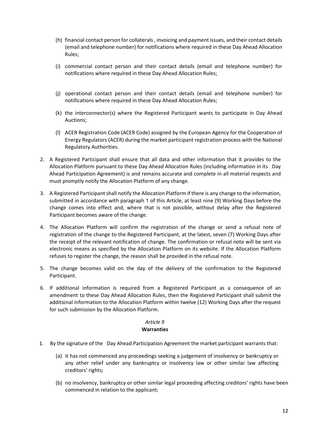- (h) financial contact person for collaterals , invoicing and payment issues, and their contact details (email and telephone number) for notifications where required in these Day Ahead Allocation Rules;
- (i) commercial contact person and their contact details (email and telephone number) for notifications where required in these Day Ahead Allocation Rules;
- (j) operational contact person and their contact details (email and telephone number) for notifications where required in these Day Ahead Allocation Rules;
- (k) the interconnector(s) where the Registered Participant wants to participate in Day Ahead Auctions;
- (l) ACER Registration Code (ACER Code) assigned by the European Agency for the Cooperation of Energy Regulators (ACER) during the market participant registration process with the National Regulatory Authorities.
- 2. A Registered Participant shall ensure that all data and other information that it provides to the Allocation Platform pursuant to these Day Ahead Allocation Rules (including information in its Day Ahead Participation Agreement) is and remains accurate and complete in all material respects and must promptly notify the Allocation Platform of any change.
- 3. A Registered Participant shall notify the Allocation Platform if there is any change to the information, submitted in accordance with paragraph 1 of this Article, at least nine (9) Working Days before the change comes into effect and, where that is not possible, without delay after the Registered Participant becomes aware of the change.
- 4. The Allocation Platform will confirm the registration of the change or send a refusal note of registration of the change to the Registered Participant, at the latest, seven (7) Working Days after the receipt of the relevant notification of change. The confirmation or refusal note will be sent via electronic means as specified by the Allocation Platform on its website. If the Allocation Platform refuses to register the change, the reason shall be provided in the refusal note.
- 5. The change becomes valid on the day of the delivery of the confirmation to the Registered Participant.
- 6. If additional information is required from a Registered Participant as a consequence of an amendment to these Day Ahead Allocation Rules, then the Registered Participant shall submit the additional information to the Allocation Platform within twelve (12) Working Days after the request for such submission by the Allocation Platform.

#### **Warranties**

- <span id="page-11-0"></span>1. By the signature of the Day Ahead Participation Agreement the market participant warrants that:
	- (a) it has not commenced any proceedings seeking a judgement of insolvency or bankruptcy or any other relief under any bankruptcy or insolvency law or other similar law affecting creditors' rights;
	- (b) no insolvency, bankruptcy or other similar legal proceeding affecting creditors' rights have been commenced in relation to the applicant;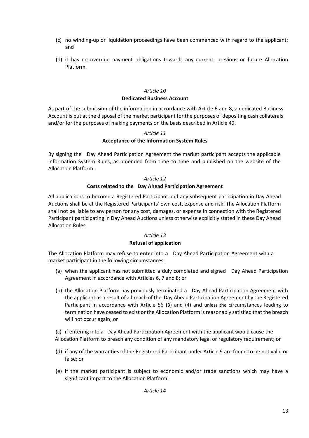- (c) no winding-up or liquidation proceedings have been commenced with regard to the applicant; and
- (d) it has no overdue payment obligations towards any current, previous or future Allocation Platform.

#### *Article 10* **Dedicated Business Account**

<span id="page-12-0"></span>As part of the submission of the information in accordance with Article 6 and 8, a dedicated Business Account is put at the disposal of the market participant for the purposes of depositing cash collaterals and/or for the purposes of making payments on the basis described in Article 49.

#### *Article 11*

#### **Acceptance of the Information System Rules**

<span id="page-12-1"></span>By signing the Day Ahead Participation Agreement the market participant accepts the applicable Information System Rules, as amended from time to time and published on the website of the Allocation Platform.

#### *Article 12*

#### **Costs related to the Day Ahead Participation Agreement**

<span id="page-12-2"></span>All applications to become a Registered Participant and any subsequent participation in Day Ahead Auctions shall be at the Registered Participants' own cost, expense and risk. The Allocation Platform shall not be liable to any person for any cost, damages, or expense in connection with the Registered Participant participating in Day Ahead Auctions unless otherwise explicitly stated in these Day Ahead Allocation Rules.

#### *Article 13*

#### **Refusal of application**

<span id="page-12-3"></span>The Allocation Platform may refuse to enter into a Day Ahead Participation Agreement with a market participant in the following circumstances:

- (a) when the applicant has not submitted a duly completed and signed Day Ahead Participation Agreement in accordance with Articles 6, 7 and 8; or
- (b) the Allocation Platform has previously terminated a Day Ahead Participation Agreement with the applicant as a result of a breach of the Day Ahead Participation Agreement by the Registered Participant in accordance with Article 56 (3) and (4) and unless the circumstances leading to termination have ceased to exist or the Allocation Platform is reasonably satisfied that the breach will not occur again; or

(c) if entering into a Day Ahead Participation Agreement with the applicant would cause the Allocation Platform to breach any condition of any mandatory legal or regulatory requirement; or

- (d) if any of the warranties of the Registered Participant under Article 9 are found to be not valid or false; or
- (e) if the market participant is subject to economic and/or trade sanctions which may have a significant impact to the Allocation Platform.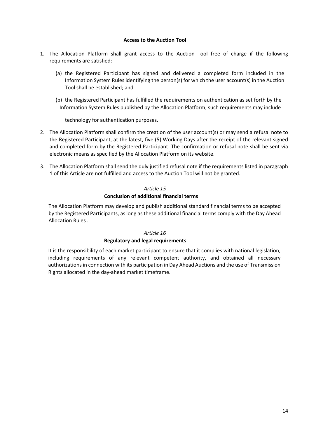#### **Access to the Auction Tool**

- <span id="page-13-0"></span>1. The Allocation Platform shall grant access to the Auction Tool free of charge if the following requirements are satisfied:
	- (a) the Registered Participant has signed and delivered a completed form included in the Information System Rules identifying the person(s) for which the user account(s) in the Auction Tool shall be established; and
	- (b) the Registered Participant has fulfilled the requirements on authentication as set forth by the Information System Rules published by the Allocation Platform; such requirements may include

technology for authentication purposes.

- 2. The Allocation Platform shall confirm the creation of the user account(s) or may send a refusal note to the Registered Participant, at the latest, five (5) Working Days after the receipt of the relevant signed and completed form by the Registered Participant. The confirmation or refusal note shall be sent via electronic means as specified by the Allocation Platform on its website.
- 3. The Allocation Platform shall send the duly justified refusal note if the requirements listed in paragraph 1 of this Article are not fulfilled and access to the Auction Tool will not be granted.

#### *Article 15*

#### **Conclusion of additional financial terms**

<span id="page-13-1"></span>The Allocation Platform may develop and publish additional standard financial terms to be accepted by the Registered Participants, as long as these additional financial terms comply with the Day Ahead Allocation Rules .

#### *Article 16*

#### **Regulatory and legal requirements**

<span id="page-13-2"></span>It is the responsibility of each market participant to ensure that it complies with national legislation, including requirements of any relevant competent authority, and obtained all necessary authorizations in connection with its participation in Day Ahead Auctions and the use of Transmission Rights allocated in the day-ahead market timeframe.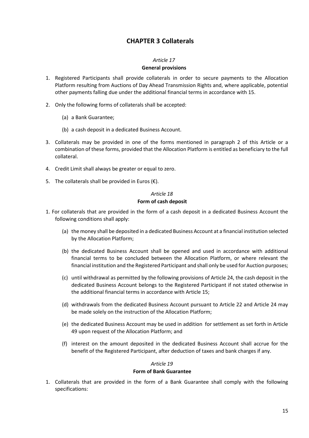# **CHAPTER 3 Collaterals**

#### *Article 17*

#### **General provisions**

- <span id="page-14-1"></span><span id="page-14-0"></span>1. Registered Participants shall provide collaterals in order to secure payments to the Allocation Platform resulting from Auctions of Day Ahead Transmission Rights and, where applicable, potential other payments falling due under the additional financial terms in accordance with 15.
- 2. Only the following forms of collaterals shall be accepted:
	- (a) a Bank Guarantee;
	- (b) a cash deposit in a dedicated Business Account.
- 3. Collaterals may be provided in one of the forms mentioned in paragraph 2 of this Article or a combination of these forms, provided that the Allocation Platform is entitled as beneficiary to the full collateral.
- 4. Credit Limit shall always be greater or equal to zero.
- 5. The collaterals shall be provided in Euros  $(\epsilon)$ .

# *Article 18*

#### **Form of cash deposit**

- <span id="page-14-2"></span>1. For collaterals that are provided in the form of a cash deposit in a dedicated Business Account the following conditions shall apply:
	- (a) the money shall be deposited in a dedicated Business Account at a financial institution selected by the Allocation Platform;
	- (b) the dedicated Business Account shall be opened and used in accordance with additional financial terms to be concluded between the Allocation Platform, or where relevant the financial institution and the Registered Participant and shall only be used for Auction purposes;
	- (c) until withdrawal as permitted by the following provisions of Article 24, the cash deposit in the dedicated Business Account belongs to the Registered Participant if not stated otherwise in the additional financial terms in accordance with Article 15;
	- (d) withdrawals from the dedicated Business Account pursuant to Article 22 and Article 24 may be made solely on the instruction of the Allocation Platform;
	- (e) the dedicated Business Account may be used in addition for settlement as set forth in Article 49 upon request of the Allocation Platform; and
	- (f) interest on the amount deposited in the dedicated Business Account shall accrue for the benefit of the Registered Participant, after deduction of taxes and bank charges if any.

#### *Article 19*

#### **Form of Bank Guarantee**

<span id="page-14-3"></span>1. Collaterals that are provided in the form of a Bank Guarantee shall comply with the following specifications: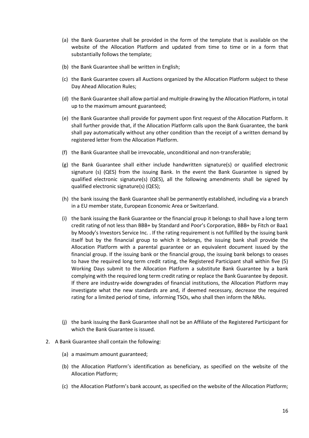- (a) the Bank Guarantee shall be provided in the form of the template that is available on the website of the Allocation Platform and updated from time to time or in a form that substantially follows the template;
- (b) the Bank Guarantee shall be written in English;
- (c) the Bank Guarantee covers all Auctions organized by the Allocation Platform subject to these Day Ahead Allocation Rules;
- (d) the Bank Guarantee shall allow partial and multiple drawing by the Allocation Platform, in total up to the maximum amount guaranteed;
- (e) the Bank Guarantee shall provide for payment upon first request of the Allocation Platform. It shall further provide that, if the Allocation Platform calls upon the Bank Guarantee, the bank shall pay automatically without any other condition than the receipt of a written demand by registered letter from the Allocation Platform.
- (f) the Bank Guarantee shall be irrevocable, unconditional and non-transferable;
- (g) the Bank Guarantee shall either include handwritten signature(s) or qualified electronic signature (s) (QES) from the issuing Bank. In the event the Bank Guarantee is signed by qualified electronic signature(s) (QES), all the following amendments shall be signed by qualified electronic signature(s) (QES);
- (h) the bank issuing the Bank Guarantee shall be permanently established, including via a branch in a EU member state, European Economic Area or Switzerland.
- (i) the bank issuing the Bank Guarantee or the financial group it belongs to shall have a long term credit rating of not less than BBB+ by Standard and Poor's Corporation, BBB+ by Fitch or Baa1 by Moody's Investors Service Inc. . If the rating requirement is not fulfilled by the issuing bank itself but by the financial group to which it belongs, the issuing bank shall provide the Allocation Platform with a parental guarantee or an equivalent document issued by the financial group. If the issuing bank or the financial group, the issuing bank belongs to ceases to have the required long term credit rating, the Registered Participant shall within five (5) Working Days submit to the Allocation Platform a substitute Bank Guarantee by a bank complying with the required long term credit rating or replace the Bank Guarantee by deposit. If there are industry-wide downgrades of financial institutions, the Allocation Platform may investigate what the new standards are and, if deemed necessary, decrease the required rating for a limited period of time, informing TSOs, who shall then inform the NRAs.
- (j) the bank issuing the Bank Guarantee shall not be an Affiliate of the Registered Participant for which the Bank Guarantee is issued.
- 2. A Bank Guarantee shall contain the following:
	- (a) a maximum amount guaranteed;
	- (b) the Allocation Platform's identification as beneficiary, as specified on the website of the Allocation Platform;
	- (c) the Allocation Platform's bank account, as specified on the website of the Allocation Platform;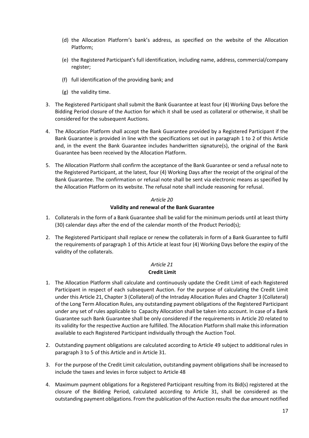- (d) the Allocation Platform's bank's address, as specified on the website of the Allocation Platform;
- (e) the Registered Participant's full identification, including name, address, commercial/company register;
- (f) full identification of the providing bank; and
- (g) the validity time.
- 3. The Registered Participant shall submit the Bank Guarantee at least four (4) Working Days before the Bidding Period closure of the Auction for which it shall be used as collateral or otherwise, it shall be considered for the subsequent Auctions.
- 4. The Allocation Platform shall accept the Bank Guarantee provided by a Registered Participant if the Bank Guarantee is provided in line with the specifications set out in paragraph 1 to 2 of this Article and, in the event the Bank Guarantee includes handwritten signature(s), the original of the Bank Guarantee has been received by the Allocation Platform.
- 5. The Allocation Platform shall confirm the acceptance of the Bank Guarantee or send a refusal note to the Registered Participant, at the latest, four (4) Working Days after the receipt of the original of the Bank Guarantee. The confirmation or refusal note shall be sent via electronic means as specified by the Allocation Platform on its website. The refusal note shall include reasoning for refusal.

#### **Validity and renewal of the Bank Guarantee**

- <span id="page-16-0"></span>1. Collaterals in the form of a Bank Guarantee shall be valid for the minimum periods until at least thirty (30) calendar days after the end of the calendar month of the Product Period(s);
- 2. The Registered Participant shall replace or renew the collaterals in form of a Bank Guarantee to fulfil the requirements of paragraph 1 of this Article at least four (4) Working Days before the expiry of the validity of the collaterals.

#### *Article 21* **Credit Limit**

- <span id="page-16-1"></span>1. The Allocation Platform shall calculate and continuously update the Credit Limit of each Registered Participant in respect of each subsequent Auction. For the purpose of calculating the Credit Limit under this Article 21, Chapter 3 (Collateral) of the Intraday Allocation Rules and Chapter 3 (Collateral) of the Long Term Allocation Rules, any outstanding payment obligations of the Registered Participant under any set of rules applicable to Capacity Allocation shall be taken into account. In case of a Bank Guarantee such Bank Guarantee shall be only considered if the requirements in Article 20 related to its validity for the respective Auction are fulfilled. The Allocation Platform shall make this information available to each Registered Participant individually through the Auction Tool.
- 2. Outstanding payment obligations are calculated according to Article 49 subject to additional rules in paragraph 3 to 5 of this Article and in Article 31.
- 3. For the purpose of the Credit Limit calculation, outstanding payment obligations shall be increased to include the taxes and levies in force subject to Article 48
- 4. Maximum payment obligations for a Registered Participant resulting from its Bid(s) registered at the closure of the Bidding Period, calculated according to Article 31, shall be considered as the outstanding payment obligations. From the publication of the Auction results the due amount notified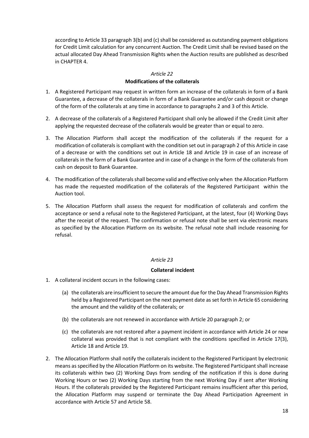according to Article 33 paragraph 3(b) and (c) shall be considered as outstanding payment obligations for Credit Limit calculation for any concurrent Auction. The Credit Limit shall be revised based on the actual allocated Day Ahead Transmission Rights when the Auction results are published as described in CHAPTER 4.

# *Article 22* **Modifications of the collaterals**

- <span id="page-17-0"></span>1. A Registered Participant may request in written form an increase of the collaterals in form of a Bank Guarantee, a decrease of the collaterals in form of a Bank Guarantee and/or cash deposit or change of the form of the collaterals at any time in accordance to paragraphs 2 and 3 of this Article.
- 2. A decrease of the collaterals of a Registered Participant shall only be allowed if the Credit Limit after applying the requested decrease of the collaterals would be greater than or equal to zero.
- 3. The Allocation Platform shall accept the modification of the collaterals if the request for a modification of collaterals is compliant with the condition set out in paragraph 2 of this Article in case of a decrease or with the conditions set out in Article 18 and Article 19 in case of an increase of collaterals in the form of a Bank Guarantee and in case of a change in the form of the collaterals from cash on deposit to Bank Guarantee.
- 4. The modification of the collaterals shall become valid and effective only when the Allocation Platform has made the requested modification of the collaterals of the Registered Participant within the Auction tool.
- 5. The Allocation Platform shall assess the request for modification of collaterals and confirm the acceptance or send a refusal note to the Registered Participant, at the latest, four (4) Working Days after the receipt of the request. The confirmation or refusal note shall be sent via electronic means as specified by the Allocation Platform on its website. The refusal note shall include reasoning for refusal.

#### *Article 23*

#### **Collateral incident**

- <span id="page-17-1"></span>1. A collateral incident occurs in the following cases:
	- (a) the collaterals are insufficient to secure the amount due for the Day Ahead Transmission Rights held by a Registered Participant on the next payment date as set forth in Article 65 considering the amount and the validity of the collaterals; or
	- (b) the collaterals are not renewed in accordance with Article 20 paragraph 2; or
	- (c) the collaterals are not restored after a payment incident in accordance with Article 24 or new collateral was provided that is not compliant with the conditions specified in Article 17(3), Article 18 and Article 19.
- 2. The Allocation Platform shall notify the collaterals incident to the Registered Participant by electronic means as specified by the Allocation Platform on its website. The Registered Participant shall increase its collaterals within two (2) Working Days from sending of the notification if this is done during Working Hours or two (2) Working Days starting from the next Working Day if sent after Working Hours. If the collaterals provided by the Registered Participant remains insufficient after this period, the Allocation Platform may suspend or terminate the Day Ahead Participation Agreement in accordance with Article 57 and Article 58.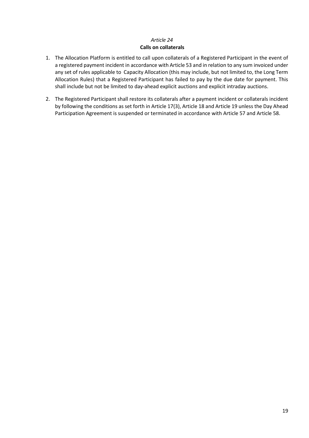#### **Calls on collaterals**

- <span id="page-18-0"></span>1. The Allocation Platform is entitled to call upon collaterals of a Registered Participant in the event of a registered payment incident in accordance with Article 53 and in relation to any sum invoiced under any set of rules applicable to Capacity Allocation (this may include, but not limited to, the Long Term Allocation Rules) that a Registered Participant has failed to pay by the due date for payment. This shall include but not be limited to day-ahead explicit auctions and explicit intraday auctions.
- 2. The Registered Participant shall restore its collaterals after a payment incident or collaterals incident by following the conditions as set forth in Article 17(3), Article 18 and Article 19 unless the Day Ahead Participation Agreement is suspended or terminated in accordance with Article 57 and Article 58.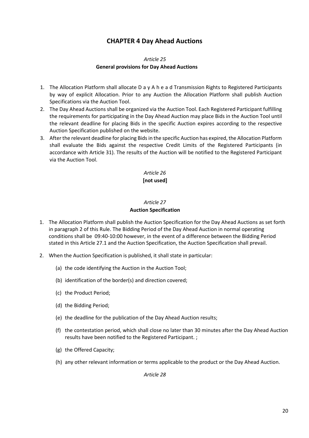# **CHAPTER 4 Day Ahead Auctions**

#### *Article 25* **General provisions for Day Ahead Auctions**

- <span id="page-19-1"></span><span id="page-19-0"></span>1. The Allocation Platform shall allocate D a y A h e a d Transmission Rights to Registered Participants by way of explicit Allocation. Prior to any Auction the Allocation Platform shall publish Auction Specifications via the Auction Tool.
- 2. The Day Ahead Auctions shall be organized via the Auction Tool. Each Registered Participant fulfilling the requirements for participating in the Day Ahead Auction may place Bids in the Auction Tool until the relevant deadline for placing Bids in the specific Auction expires according to the respective Auction Specification published on the website.
- 3. After the relevant deadline for placing Bids in the specific Auction has expired, the Allocation Platform shall evaluate the Bids against the respective Credit Limits of the Registered Participants (in accordance with Article 31). The results of the Auction will be notified to the Registered Participant via the Auction Tool.

#### *Article 26* **[not used]**

### *Article 27* **Auction Specification**

- <span id="page-19-2"></span>1. The Allocation Platform shall publish the Auction Specification for the Day Ahead Auctions as set forth in paragraph 2 of this Rule. The Bidding Period of the Day Ahead Auction in normal operating conditions shall be 09:40-10:00 however, in the event of a difference between the Bidding Period stated in this Article 27.1 and the Auction Specification, the Auction Specification shall prevail.
- 2. When the Auction Specification is published, it shall state in particular:
	- (a) the code identifying the Auction in the Auction Tool;
	- (b) identification of the border(s) and direction covered;
	- (c) the Product Period;
	- (d) the Bidding Period;
	- (e) the deadline for the publication of the Day Ahead Auction results;
	- (f) the contestation period, which shall close no later than 30 minutes after the Day Ahead Auction results have been notified to the Registered Participant. ;
	- (g) the Offered Capacity;
	- (h) any other relevant information or terms applicable to the product or the Day Ahead Auction.

*Article 28*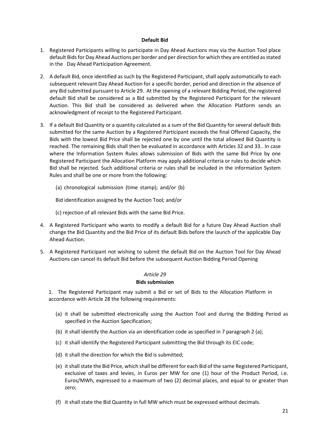#### **Default Bid**

- <span id="page-20-0"></span>1. Registered Participants willing to participate in Day Ahead Auctions may via the Auction Tool place default Bids for Day Ahead Auctions per border and per direction for which they are entitled as stated in the Day Ahead Participation Agreement.
- 2. A default Bid, once identified as such by the Registered Participant, shall apply automatically to each subsequent relevant Day Ahead Auction for a specific border, period and direction in the absence of any Bid submitted pursuant to Article 29. At the opening of a relevant Bidding Period, the registered default Bid shall be considered as a Bid submitted by the Registered Participant for the relevant Auction. This Bid shall be considered as delivered when the Allocation Platform sends an acknowledgment of receipt to the Registered Participant.
- 3. If a default Bid Quantity or a quantity calculated as a sum of the Bid Quantity for several default Bids submitted for the same Auction by a Registered Participant exceeds the final Offered Capacity, the Bids with the lowest Bid Price shall be rejected one by one until the total allowed Bid Quantity is reached. The remaining Bids shall then be evaluated in accordance with Articles 32 and 33.. In case where the Information System Rules allows submission of Bids with the same Bid Price by one Registered Participant the Allocation Platform may apply additional criteria or rules to decide which Bid shall be rejected. Such additional criteria or rules shall be included in the information System Rules and shall be one or more from the following:
	- (a) chronological submission (time stamp); and/or (b)

Bid identification assigned by the Auction Tool; and/or

- (c) rejection of all relevant Bids with the same Bid Price.
- 4. A Registered Participant who wants to modify a default Bid for a future Day Ahead Auction shall change the Bid Quantity and the Bid Price of its default Bids before the launch of the applicable Day Ahead Auction.
- 5. A Registered Participant not wishing to submit the default Bid on the Auction Tool for Day Ahead Auctions can cancel its default Bid before the subsequent Auction Bidding Period Opening

#### *Article 29*

#### **Bids submission**

<span id="page-20-1"></span>1. The Registered Participant may submit a Bid or set of Bids to the Allocation Platform in accordance with Article 28 the following requirements:

- (a) it shall be submitted electronically using the Auction Tool and during the Bidding Period as specified in the Auction Specification;
- (b) it shall identify the Auction via an identification code as specified in 7 paragraph 2 (a);
- (c) it shall identify the Registered Participant submitting the Bid through its EIC code;
- (d) it shall the direction for which the Bid is submitted;
- (e) it shall state the Bid Price, which shall be different for each Bid of the same Registered Participant, exclusive of taxes and levies, in Euros per MW for one (1) hour of the Product Period, i.e. Euros/MWh, expressed to a maximum of two (2) decimal places, and equal to or greater than zero;
- (f) it shall state the Bid Quantity in full MW which must be expressed without decimals.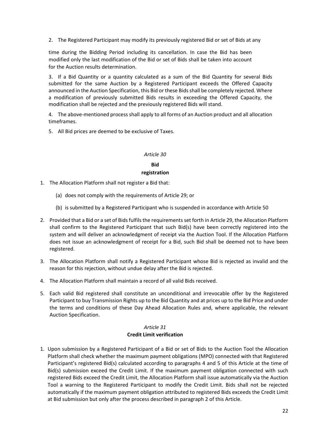2. The Registered Participant may modify its previously registered Bid or set of Bids at any

time during the Bidding Period including its cancellation. In case the Bid has been modified only the last modification of the Bid or set of Bids shall be taken into account for the Auction results determination.

3. If a Bid Quantity or a quantity calculated as a sum of the Bid Quantity for several Bids submitted for the same Auction by a Registered Participant exceeds the Offered Capacity announced in the Auction Specification, this Bid or these Bids shall be completely rejected. Where a modification of previously submitted Bids results in exceeding the Offered Capacity, the modification shall be rejected and the previously registered Bids will stand.

4. The above-mentioned process shall apply to all forms of an Auction product and all allocation timeframes.

5. All Bid prices are deemed to be exclusive of Taxes.

#### *Article 30*

# **Bid registration**

- <span id="page-21-0"></span>1. The Allocation Platform shall not register a Bid that:
	- (a) does not comply with the requirements of Article 29; or
	- (b) is submitted by a Registered Participant who is suspended in accordance with Article 50
- 2. Provided that a Bid or a set of Bids fulfils the requirements set forth in Article 29, the Allocation Platform shall confirm to the Registered Participant that such Bid(s) have been correctly registered into the system and will deliver an acknowledgment of receipt via the Auction Tool. If the Allocation Platform does not issue an acknowledgment of receipt for a Bid, such Bid shall be deemed not to have been registered.
- 3. The Allocation Platform shall notify a Registered Participant whose Bid is rejected as invalid and the reason for this rejection, without undue delay after the Bid is rejected.
- 4. The Allocation Platform shall maintain a record of all valid Bids received.
- 5. Each valid Bid registered shall constitute an unconditional and irrevocable offer by the Registered Participant to buy Transmission Rights up to the Bid Quantity and at prices up to the Bid Price and under the terms and conditions of these Day Ahead Allocation Rules and, where applicable, the relevant Auction Specification.

#### *Article 31* **Credit Limit verification**

<span id="page-21-1"></span>1. Upon submission by a Registered Participant of a Bid or set of Bids to the Auction Tool the Allocation Platform shall check whether the maximum payment obligations (MPO) connected with that Registered Participant's registered Bid(s) calculated according to paragraphs 4 and 5 of this Article at the time of Bid(s) submission exceed the Credit Limit. If the maximum payment obligation connected with such registered Bids exceed the Credit Limit, the Allocation Platform shall issue automatically via the Auction Tool a warning to the Registered Participant to modify the Credit Limit. Bids shall not be rejected automatically if the maximum payment obligation attributed to registered Bids exceeds the Credit Limit at Bid submission but only after the process described in paragraph 2 of this Article.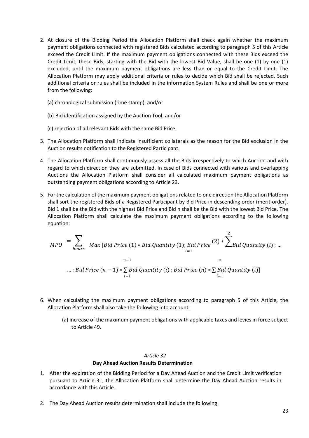- 2. At closure of the Bidding Period the Allocation Platform shall check again whether the maximum payment obligations connected with registered Bids calculated according to paragraph 5 of this Article exceed the Credit Limit. If the maximum payment obligations connected with these Bids exceed the Credit Limit, these Bids, starting with the Bid with the lowest Bid Value, shall be one (1) by one (1) excluded, until the maximum payment obligations are less than or equal to the Credit Limit. The Allocation Platform may apply additional criteria or rules to decide which Bid shall be rejected. Such additional criteria or rules shall be included in the information System Rules and shall be one or more from the following:
	- (a) chronological submission (time stamp); and/or
	- (b) Bid identification assigned by the Auction Tool; and/or
	- (c) rejection of all relevant Bids with the same Bid Price.
- 3. The Allocation Platform shall indicate insufficient collaterals as the reason for the Bid exclusion in the Auction results notification to the Registered Participant.
- 4. The Allocation Platform shall continuously assess all the Bids irrespectively to which Auction and with regard to which direction they are submitted. In case of Bids connected with various and overlapping Auctions the Allocation Platform shall consider all calculated maximum payment obligations as outstanding payment obligations according to Article 23.
- 5. For the calculation of the maximum payment obligations related to one direction the Allocation Platform shall sort the registered Bids of a Registered Participant by Bid Price in descending order (merit-order). Bid 1 shall be the Bid with the highest Bid Price and Bid n shall be the Bid with the lowest Bid Price. The Allocation Platform shall calculate the maximum payment obligations according to the following equation:

$$
MPO = \sum_{hours} Max [Bid Price (1) * Bid Quantity (1); Bid Price (2) * \sum_{i=1}^{2} Black Quantity (i) ; ...]
$$
  
...; Bid Price (n - 1) \*  $\sum_{i=1}^{n-1} Bid Quantity (i)$ ; Bid Price (n) \*  $\sum_{i=1}^{n} Bid Quantity (i)$ ]  
...

- 6. When calculating the maximum payment obligations according to paragraph 5 of this Article, the Allocation Platform shall also take the following into account:
	- (a) increase of the maximum payment obligations with applicable taxes and levies in force subject to Article 49.

#### **Day Ahead Auction Results Determination**

- <span id="page-22-0"></span>1. After the expiration of the Bidding Period for a Day Ahead Auction and the Credit Limit verification pursuant to Article 31, the Allocation Platform shall determine the Day Ahead Auction results in accordance with this Article.
- 2. The Day Ahead Auction results determination shall include the following: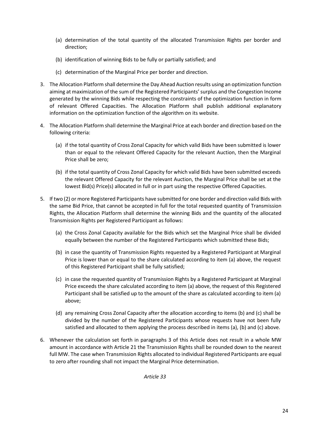- (a) determination of the total quantity of the allocated Transmission Rights per border and direction;
- (b) identification of winning Bids to be fully or partially satisfied; and
- (c) determination of the Marginal Price per border and direction.
- 3. The Allocation Platform shall determine the Day Ahead Auction results using an optimization function aiming at maximization of the sum of the Registered Participants' surplus and the Congestion Income generated by the winning Bids while respecting the constraints of the optimization function in form of relevant Offered Capacities. The Allocation Platform shall publish additional explanatory information on the optimization function of the algorithm on its website.
- 4. The Allocation Platform shall determine the Marginal Price at each border and direction based on the following criteria:
	- (a) if the total quantity of Cross Zonal Capacity for which valid Bids have been submitted is lower than or equal to the relevant Offered Capacity for the relevant Auction, then the Marginal Price shall be zero;
	- (b) if the total quantity of Cross Zonal Capacity for which valid Bids have been submitted exceeds the relevant Offered Capacity for the relevant Auction, the Marginal Price shall be set at the lowest Bid(s) Price(s) allocated in full or in part using the respective Offered Capacities.
- 5. If two (2) or more Registered Participants have submitted for one border and direction valid Bids with the same Bid Price, that cannot be accepted in full for the total requested quantity of Transmission Rights, the Allocation Platform shall determine the winning Bids and the quantity of the allocated Transmission Rights per Registered Participant as follows:
	- (a) the Cross Zonal Capacity available for the Bids which set the Marginal Price shall be divided equally between the number of the Registered Participants which submitted these Bids;
	- (b) in case the quantity of Transmission Rights requested by a Registered Participant at Marginal Price is lower than or equal to the share calculated according to item (a) above, the request of this Registered Participant shall be fully satisfied;
	- (c) in case the requested quantity of Transmission Rights by a Registered Participant at Marginal Price exceeds the share calculated according to item (a) above, the request of this Registered Participant shall be satisfied up to the amount of the share as calculated according to item (a) above;
	- (d) any remaining Cross Zonal Capacity after the allocation according to items (b) and (c) shall be divided by the number of the Registered Participants whose requests have not been fully satisfied and allocated to them applying the process described in items (a), (b) and (c) above.
- 6. Whenever the calculation set forth in paragraphs 3 of this Article does not result in a whole MW amount in accordance with Article 21 the Transmission Rights shall be rounded down to the nearest full MW. The case when Transmission Rights allocated to individual Registered Participants are equal to zero after rounding shall not impact the Marginal Price determination.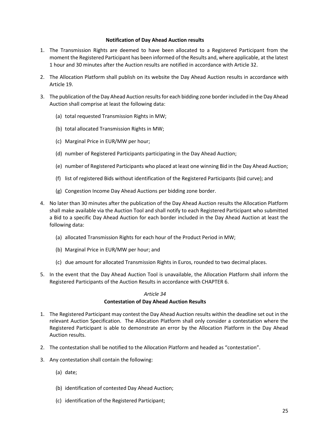#### **Notification of Day Ahead Auction results**

- <span id="page-24-0"></span>1. The Transmission Rights are deemed to have been allocated to a Registered Participant from the moment the Registered Participant has been informed of the Results and, where applicable, at the latest 1 hour and 30 minutes after the Auction results are notified in accordance with Article 32.
- 2. The Allocation Platform shall publish on its website the Day Ahead Auction results in accordance with Article 19.
- 3. The publication of the Day Ahead Auction results for each bidding zone border included in the Day Ahead Auction shall comprise at least the following data:
	- (a) total requested Transmission Rights in MW;
	- (b) total allocated Transmission Rights in MW;
	- (c) Marginal Price in EUR/MW per hour;
	- (d) number of Registered Participants participating in the Day Ahead Auction;
	- (e) number of Registered Participants who placed at least one winning Bid in the Day Ahead Auction;
	- (f) list of registered Bids without identification of the Registered Participants (bid curve); and
	- (g) Congestion Income Day Ahead Auctions per bidding zone border.
- 4. No later than 30 minutes after the publication of the Day Ahead Auction results the Allocation Platform shall make available via the Auction Tool and shall notify to each Registered Participant who submitted a Bid to a specific Day Ahead Auction for each border included in the Day Ahead Auction at least the following data:
	- (a) allocated Transmission Rights for each hour of the Product Period in MW;
	- (b) Marginal Price in EUR/MW per hour; and
	- (c) due amount for allocated Transmission Rights in Euros, rounded to two decimal places.
- 5. In the event that the Day Ahead Auction Tool is unavailable, the Allocation Platform shall inform the Registered Participants of the Auction Results in accordance with CHAPTER 6.

#### *Article 34*

#### **Contestation of Day Ahead Auction Results**

- <span id="page-24-1"></span>1. The Registered Participant may contest the Day Ahead Auction results within the deadline set out in the relevant Auction Specification. The Allocation Platform shall only consider a contestation where the Registered Participant is able to demonstrate an error by the Allocation Platform in the Day Ahead Auction results.
- 2. The contestation shall be notified to the Allocation Platform and headed as "contestation".
- 3. Any contestation shall contain the following:
	- (a) date;
	- (b) identification of contested Day Ahead Auction;
	- (c) identification of the Registered Participant;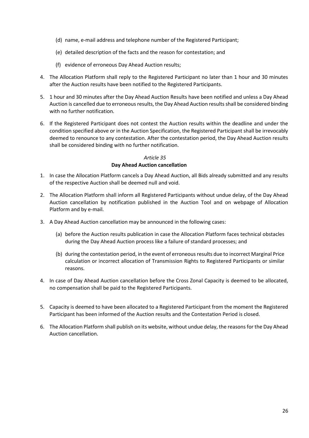- (d) name, e-mail address and telephone number of the Registered Participant;
- (e) detailed description of the facts and the reason for contestation; and
- (f) evidence of erroneous Day Ahead Auction results;
- 4. The Allocation Platform shall reply to the Registered Participant no later than 1 hour and 30 minutes after the Auction results have been notified to the Registered Participants.
- 5. 1 hour and 30 minutes after the Day Ahead Auction Results have been notified and unless a Day Ahead Auction is cancelled due to erroneous results, the Day Ahead Auction results shall be considered binding with no further notification.
- 6. If the Registered Participant does not contest the Auction results within the deadline and under the condition specified above or in the Auction Specification, the Registered Participant shall be irrevocably deemed to renounce to any contestation. After the contestation period, the Day Ahead Auction results shall be considered binding with no further notification.

#### **Day Ahead Auction cancellation**

- <span id="page-25-0"></span>1. In case the Allocation Platform cancels a Day Ahead Auction, all Bids already submitted and any results of the respective Auction shall be deemed null and void.
- 2. The Allocation Platform shall inform all Registered Participants without undue delay, of the Day Ahead Auction cancellation by notification published in the Auction Tool and on webpage of Allocation Platform and by e-mail.
- 3. A Day Ahead Auction cancellation may be announced in the following cases:
	- (a) before the Auction results publication in case the Allocation Platform faces technical obstacles during the Day Ahead Auction process like a failure of standard processes; and
	- (b) during the contestation period, in the event of erroneous results due to incorrect Marginal Price calculation or incorrect allocation of Transmission Rights to Registered Participants or similar reasons.
- 4. In case of Day Ahead Auction cancellation before the Cross Zonal Capacity is deemed to be allocated, no compensation shall be paid to the Registered Participants.
- 5. Capacity is deemed to have been allocated to a Registered Participant from the moment the Registered Participant has been informed of the Auction results and the Contestation Period is closed.
- 6. The Allocation Platform shall publish on its website, without undue delay, the reasons for the Day Ahead Auction cancellation.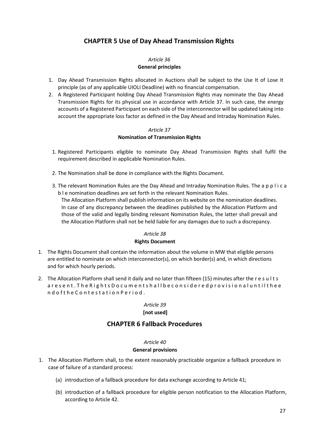# **CHAPTER 5 Use of Day Ahead Transmission Rights**

### *Article 36* **General principles**

- <span id="page-26-1"></span><span id="page-26-0"></span>1. Day Ahead Transmission Rights allocated in Auctions shall be subject to the Use It of Lose It principle (as of any applicable UIOLI Deadline) with no financial compensation.
- 2. A Registered Participant holding Day Ahead Transmission Rights may nominate the Day Ahead Transmission Rights for its physical use in accordance with Article 37. In such case, the energy accounts of a Registered Participant on each side of the interconnector will be updated taking into account the appropriate loss factor as defined in the Day Ahead and Intraday Nomination Rules.

#### *Article 37* **Nomination of Transmission Rights**

- <span id="page-26-2"></span>1. Registered Participants eligible to nominate Day Ahead Transmission Rights shall fulfil the requirement described in applicable Nomination Rules.
- 2. The Nomination shall be done in compliance with the Rights Document.
- 3. The relevant Nomination Rules are the Day Ahead and Intraday Nomination Rules. The a p p l i c a b l e nomination deadlines are set forth in the relevant Nomination Rules.

The Allocation Platform shall publish information on its website on the nomination deadlines. In case of any discrepancy between the deadlines published by the Allocation Platform and those of the valid and legally binding relevant Nomination Rules, the latter shall prevail and the Allocation Platform shall not be held liable for any damages due to such a discrepancy.

#### *Article 38*

#### **Rights Document**

- <span id="page-26-3"></span>1. The Rights Document shall contain the information about the volume in MW that eligible persons are entitled to nominate on which interconnector(s), on which border(s) and, in which directions and for which hourly periods.
- 2. The Allocation Platform shall send it daily and no later than fifteen (15) minutes after the r e s u l t s a r e s e n t . T h e R i g h t s D o c u m e n t s h a l l b e c o n s i d e r e d p r o v i s i o n a l u n t i l t h e e n d o f t h e C o n t e s t a t i o n P e r i o d .

#### *Article 39*

#### **[not used]**

# **CHAPTER 6 Fallback Procedures**

#### *Article 40*

#### **General provisions**

- <span id="page-26-5"></span><span id="page-26-4"></span>1. The Allocation Platform shall, to the extent reasonably practicable organize a fallback procedure in case of failure of a standard process:
	- (a) introduction of a fallback procedure for data exchange according to Article 41;
	- (b) introduction of a fallback procedure for eligible person notification to the Allocation Platform, according to Article 42.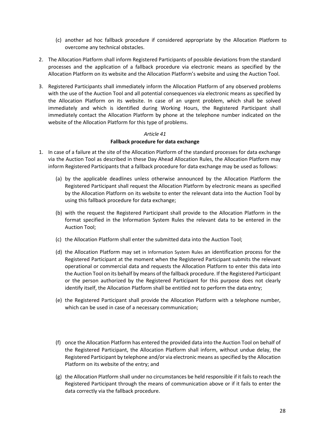- (c) another ad hoc fallback procedure if considered appropriate by the Allocation Platform to overcome any technical obstacles.
- 2. The Allocation Platform shall inform Registered Participants of possible deviations from the standard processes and the application of a fallback procedure via electronic means as specified by the Allocation Platform on its website and the Allocation Platform's website and using the Auction Tool.
- 3. Registered Participants shall immediately inform the Allocation Platform of any observed problems with the use of the Auction Tool and all potential consequences via electronic means as specified by the Allocation Platform on its website. In case of an urgent problem, which shall be solved immediately and which is identified during Working Hours, the Registered Participant shall immediately contact the Allocation Platform by phone at the telephone number indicated on the website of the Allocation Platform for this type of problems.

#### **Fallback procedure for data exchange**

- <span id="page-27-0"></span>1. In case of a failure at the site of the Allocation Platform of the standard processes for data exchange via the Auction Tool as described in these Day Ahead Allocation Rules, the Allocation Platform may inform Registered Participants that a fallback procedure for data exchange may be used as follows:
	- (a) by the applicable deadlines unless otherwise announced by the Allocation Platform the Registered Participant shall request the Allocation Platform by electronic means as specified by the Allocation Platform on its website to enter the relevant data into the Auction Tool by using this fallback procedure for data exchange;
	- (b) with the request the Registered Participant shall provide to the Allocation Platform in the format specified in the Information System Rules the relevant data to be entered in the Auction Tool;
	- (c) the Allocation Platform shall enter the submitted data into the Auction Tool;
	- (d) the Allocation Platform may set in Information System Rules an identification process for the Registered Participant at the moment when the Registered Participant submits the relevant operational or commercial data and requests the Allocation Platform to enter this data into the Auction Tool on its behalf by means of the fallback procedure. If the Registered Participant or the person authorized by the Registered Participant for this purpose does not clearly identify itself, the Allocation Platform shall be entitled not to perform the data entry;
	- (e) the Registered Participant shall provide the Allocation Platform with a telephone number, which can be used in case of a necessary communication;
	- (f) once the Allocation Platform has entered the provided data into the Auction Tool on behalf of the Registered Participant, the Allocation Platform shall inform, without undue delay, the Registered Participant by telephone and/or via electronic means as specified by the Allocation Platform on its website of the entry; and
	- (g) the Allocation Platform shall under no circumstances be held responsible if it fails to reach the Registered Participant through the means of communication above or if it fails to enter the data correctly via the fallback procedure.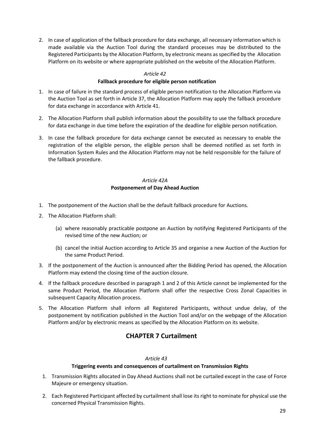2. In case of application of the fallback procedure for data exchange, all necessary information which is made available via the Auction Tool during the standard processes may be distributed to the Registered Participants by the Allocation Platform, by electronic means as specified by the Allocation Platform on its website or where appropriate published on the website of the Allocation Platform.

#### *Article 42*

#### **Fallback procedure for eligible person notification**

- <span id="page-28-0"></span>1. In case of failure in the standard process of eligible person notification to the Allocation Platform via the Auction Tool as set forth in Article 37, the Allocation Platform may apply the fallback procedure for data exchange in accordance with Article 41.
- 2. The Allocation Platform shall publish information about the possibility to use the fallback procedure for data exchange in due time before the expiration of the deadline for eligible person notification.
- 3. In case the fallback procedure for data exchange cannot be executed as necessary to enable the registration of the eligible person, the eligible person shall be deemed notified as set forth in Information System Rules and the Allocation Platform may not be held responsible for the failure of the fallback procedure.

#### *Article 42A*  **Postponement of Day Ahead Auction**

- <span id="page-28-1"></span>1. The postponement of the Auction shall be the default fallback procedure for Auctions.
- 2. The Allocation Platform shall:
	- (a) where reasonably practicable postpone an Auction by notifying Registered Participants of the revised time of the new Auction; or
	- (b) cancel the initial Auction according to Article 35 and organise a new Auction of the Auction for the same Product Period.
- 3. If the postponement of the Auction is announced after the Bidding Period has opened, the Allocation Platform may extend the closing time of the auction closure.
- 4. If the fallback procedure described in paragraph 1 and 2 of this Article cannot be implemented for the same Product Period, the Allocation Platform shall offer the respective Cross Zonal Capacities in subsequent Capacity Allocation process.
- <span id="page-28-2"></span>5. The Allocation Platform shall inform all Registered Participants, without undue delay, of the postponement by notification published in the Auction Tool and/or on the webpage of the Allocation Platform and/or by electronic means as specified by the Allocation Platform on its website.

# **CHAPTER 7 Curtailment**

#### *Article 43*

#### <span id="page-28-3"></span>**Triggering events and consequences of curtailment on Transmission Rights**

- 1. Transmission Rights allocated in Day Ahead Auctions shall not be curtailed except in the case of Force Majeure or emergency situation.
- 2. Each Registered Participant affected by curtailment shall lose its right to nominate for physical use the concerned Physical Transmission Rights.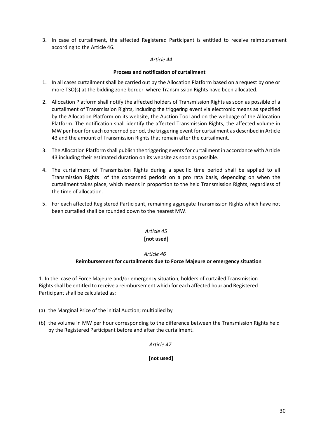3. In case of curtailment, the affected Registered Participant is entitled to receive reimbursement according to the Article 46.

#### *Article 44*

#### <span id="page-29-0"></span> **Process and notification of curtailment**

- 1. In all cases curtailment shall be carried out by the Allocation Platform based on a request by one or more TSO(s) at the bidding zone border where Transmission Rights have been allocated.
- 2. Allocation Platform shall notify the affected holders of Transmission Rights as soon as possible of a curtailment of Transmission Rights, including the triggering event via electronic means as specified by the Allocation Platform on its website, the Auction Tool and on the webpage of the Allocation Platform. The notification shall identify the affected Transmission Rights, the affected volume in MW per hour for each concerned period, the triggering event for curtailment as described in Article 43 and the amount of Transmission Rights that remain after the curtailment.
- 3. The Allocation Platform shall publish the triggering events for curtailment in accordance with Article 43 including their estimated duration on its website as soon as possible.
- 4. The curtailment of Transmission Rights during a specific time period shall be applied to all Transmission Rights of the concerned periods on a pro rata basis, depending on when the curtailment takes place, which means in proportion to the held Transmission Rights, regardless of the time of allocation.
- 5. For each affected Registered Participant, remaining aggregate Transmission Rights which have not been curtailed shall be rounded down to the nearest MW.

# *Article 45*

# **[not used]**

#### *Article 46*

#### **Reimbursement for curtailments due to Force Majeure or emergency situation**

<span id="page-29-1"></span>1. In the case of Force Majeure and/or emergency situation, holders of curtailed Transmission Rights shall be entitled to receive a reimbursement which for each affected hour and Registered Participant shall be calculated as:

- (a) the Marginal Price of the initial Auction; multiplied by
- (b) the volume in MW per hour corresponding to the difference between the Transmission Rights held by the Registered Participant before and after the curtailment.

#### *Article 47*

#### **[not used]**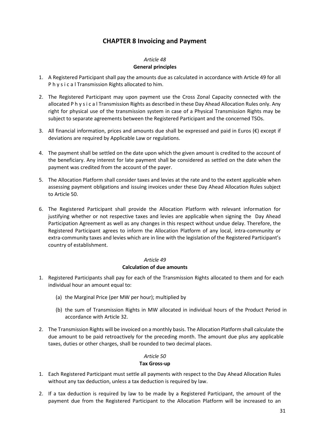# **CHAPTER 8 Invoicing and Payment**

#### *Article 48* **General principles**

- <span id="page-30-1"></span><span id="page-30-0"></span>1. A Registered Participant shall pay the amounts due as calculated in accordance with Article 49 for all P h y s i c a l Transmission Rights allocated to him.
- 2. The Registered Participant may upon payment use the Cross Zonal Capacity connected with the allocated P h y s i c a l Transmission Rights as described in these Day Ahead Allocation Rules only. Any right for physical use of the transmission system in case of a Physical Transmission Rights may be subject to separate agreements between the Registered Participant and the concerned TSOs.
- 3. All financial information, prices and amounts due shall be expressed and paid in Euros  $(\epsilon)$  except if deviations are required by Applicable Law or regulations.
- 4. The payment shall be settled on the date upon which the given amount is credited to the account of the beneficiary. Any interest for late payment shall be considered as settled on the date when the payment was credited from the account of the payer.
- 5. The Allocation Platform shall consider taxes and levies at the rate and to the extent applicable when assessing payment obligations and issuing invoices under these Day Ahead Allocation Rules subject to Article 50.
- 6. The Registered Participant shall provide the Allocation Platform with relevant information for justifying whether or not respective taxes and levies are applicable when signing the Day Ahead Participation Agreement as well as any changes in this respect without undue delay. Therefore, the Registered Participant agrees to inform the Allocation Platform of any local, intra-community or extra-community taxes and levies which are in line with the legislation of the Registered Participant's country of establishment.

# *Article 49* **Calculation of due amounts**

- <span id="page-30-2"></span>1. Registered Participants shall pay for each of the Transmission Rights allocated to them and for each individual hour an amount equal to:
	- (a) the Marginal Price (per MW per hour); multiplied by
	- (b) the sum of Transmission Rights in MW allocated in individual hours of the Product Period in accordance with Article 32.
- 2. The Transmission Rights will be invoiced on a monthly basis. The Allocation Platform shall calculate the due amount to be paid retroactively for the preceding month. The amount due plus any applicable taxes, duties or other charges, shall be rounded to two decimal places.

#### *Article 50*

#### **Tax Gross-up**

- <span id="page-30-3"></span>1. Each Registered Participant must settle all payments with respect to the Day Ahead Allocation Rules without any tax deduction, unless a tax deduction is required by law.
- 2. If a tax deduction is required by law to be made by a Registered Participant, the amount of the payment due from the Registered Participant to the Allocation Platform will be increased to an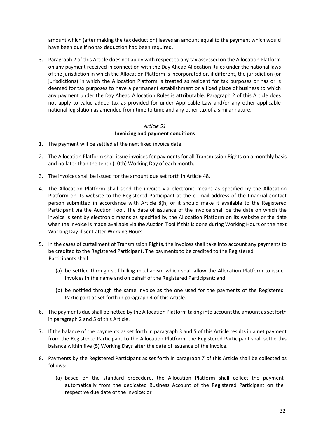amount which (after making the tax deduction) leaves an amount equal to the payment which would have been due if no tax deduction had been required.

3. Paragraph 2 of this Article does not apply with respect to any tax assessed on the Allocation Platform on any payment received in connection with the Day Ahead Allocation Rules under the national laws of the jurisdiction in which the Allocation Platform is incorporated or, if different, the jurisdiction (or jurisdictions) in which the Allocation Platform is treated as resident for tax purposes or has or is deemed for tax purposes to have a permanent establishment or a fixed place of business to which any payment under the Day Ahead Allocation Rules is attributable. Paragraph 2 of this Article does not apply to value added tax as provided for under Applicable Law and/or any other applicable national legislation as amended from time to time and any other tax of a similar nature.

#### *Article 51*

#### **Invoicing and payment conditions**

- <span id="page-31-0"></span>1. The payment will be settled at the next fixed invoice date.
- 2. The Allocation Platform shall issue invoices for payments for all Transmission Rights on a monthly basis and no later than the tenth (10th) Working Day of each month.
- 3. The invoices shall be issued for the amount due set forth in Article 48.
- 4. The Allocation Platform shall send the invoice via electronic means as specified by the Allocation Platform on its website to the Registered Participant at the e- mail address of the financial contact person submitted in accordance with Article 8(h) or it should make it available to the Registered Participant via the Auction Tool. The date of issuance of the invoice shall be the date on which the invoice is sent by electronic means as specified by the Allocation Platform on its website or the date when the invoice is made available via the Auction Tool if this is done during Working Hours or the next Working Day if sent after Working Hours.
- 5. In the cases of curtailment of Transmission Rights, the invoices shall take into account any payments to be credited to the Registered Participant. The payments to be credited to the Registered Participants shall:
	- (a) be settled through self-billing mechanism which shall allow the Allocation Platform to issue invoices in the name and on behalf of the Registered Participant; and
	- (b) be notified through the same invoice as the one used for the payments of the Registered Participant as set forth in paragraph 4 of this Article.
- 6. The payments due shall be netted by the Allocation Platform taking into account the amount as set forth in paragraph 2 and 5 of this Article.
- 7. If the balance of the payments as set forth in paragraph 3 and 5 of this Article results in a net payment from the Registered Participant to the Allocation Platform, the Registered Participant shall settle this balance within five (5) Working Days after the date of issuance of the invoice.
- 8. Payments by the Registered Participant as set forth in paragraph 7 of this Article shall be collected as follows:
	- (a) based on the standard procedure, the Allocation Platform shall collect the payment automatically from the dedicated Business Account of the Registered Participant on the respective due date of the invoice; or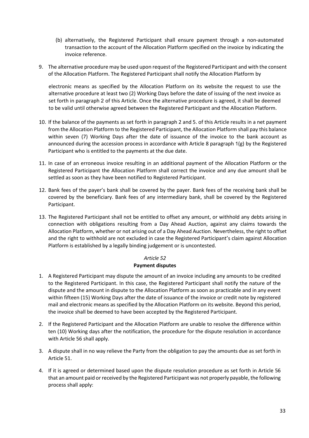- (b) alternatively, the Registered Participant shall ensure payment through a non-automated transaction to the account of the Allocation Platform specified on the invoice by indicating the invoice reference.
- 9. The alternative procedure may be used upon request of the Registered Participant and with the consent of the Allocation Platform. The Registered Participant shall notify the Allocation Platform by

electronic means as specified by the Allocation Platform on its website the request to use the alternative procedure at least two (2) Working Days before the date of issuing of the next invoice as set forth in paragraph 2 of this Article. Once the alternative procedure is agreed, it shall be deemed to be valid until otherwise agreed between the Registered Participant and the Allocation Platform.

- 10. If the balance of the payments as set forth in paragraph 2 and 5. of this Article results in a net payment from the Allocation Platform to the Registered Participant, the Allocation Platform shall pay this balance within seven (7) Working Days after the date of issuance of the invoice to the bank account as announced during the accession process in accordance with Article 8 paragraph 1(g) by the Registered Participant who is entitled to the payments at the due date.
- 11. In case of an erroneous invoice resulting in an additional payment of the Allocation Platform or the Registered Participant the Allocation Platform shall correct the invoice and any due amount shall be settled as soon as they have been notified to Registered Participant.
- 12. Bank fees of the payer's bank shall be covered by the payer. Bank fees of the receiving bank shall be covered by the beneficiary. Bank fees of any intermediary bank, shall be covered by the Registered Participant.
- 13. The Registered Participant shall not be entitled to offset any amount, or withhold any debts arising in connection with obligations resulting from a Day Ahead Auction, against any claims towards the Allocation Platform, whether or not arising out of a Day Ahead Auction. Nevertheless, the right to offset and the right to withhold are not excluded in case the Registered Participant's claim against Allocation Platform is established by a legally binding judgement or is uncontested.

#### *Article 52*

#### **Payment disputes**

- <span id="page-32-0"></span>1. A Registered Participant may dispute the amount of an invoice including any amounts to be credited to the Registered Participant. In this case, the Registered Participant shall notify the nature of the dispute and the amount in dispute to the Allocation Platform as soon as practicable and in any event within fifteen (15) Working Days after the date of issuance of the invoice or credit note by registered mail and electronic means as specified by the Allocation Platform on its website. Beyond this period, the invoice shall be deemed to have been accepted by the Registered Participant.
- 2. If the Registered Participant and the Allocation Platform are unable to resolve the difference within ten (10) Working days after the notification, the procedure for the dispute resolution in accordance with Article 56 shall apply.
- 3. A dispute shall in no way relieve the Party from the obligation to pay the amounts due as set forth in Article 51.
- 4. If it is agreed or determined based upon the dispute resolution procedure as set forth in Article 56 that an amount paid or received by the Registered Participant was not properly payable, the following process shall apply: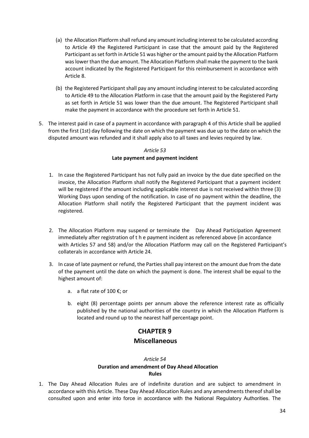- (a) the Allocation Platform shall refund any amount including interest to be calculated according to Article 49 the Registered Participant in case that the amount paid by the Registered Participant as set forth in Article 51 was higher or the amount paid by the Allocation Platform was lower than the due amount. The Allocation Platform shall make the payment to the bank account indicated by the Registered Participant for this reimbursement in accordance with Article 8.
- (b) the Registered Participant shall pay any amount including interest to be calculated according to Article 49 to the Allocation Platform in case that the amount paid by the Registered Party as set forth in Article 51 was lower than the due amount. The Registered Participant shall make the payment in accordance with the procedure set forth in Article 51.
- 5. The interest paid in case of a payment in accordance with paragraph 4 of this Article shall be applied from the first (1st) day following the date on which the payment was due up to the date on which the disputed amount was refunded and it shall apply also to all taxes and levies required by law.

# **Late payment and payment incident**

- <span id="page-33-0"></span>1. In case the Registered Participant has not fully paid an invoice by the due date specified on the invoice, the Allocation Platform shall notify the Registered Participant that a payment incident will be registered if the amount including applicable interest due is not received within three (3) Working Days upon sending of the notification. In case of no payment within the deadline, the Allocation Platform shall notify the Registered Participant that the payment incident was registered.
- 2. The Allocation Platform may suspend or terminate the Day Ahead Participation Agreement immediately after registration of t h e payment incident as referenced above (in accordance with Articles 57 and 58) and/or the Allocation Platform may call on the Registered Participant's collaterals in accordance with Article 24.
- 3. In case of late payment or refund, the Parties shall pay interest on the amount due from the date of the payment until the date on which the payment is done. The interest shall be equal to the highest amount of:
	- a. a flat rate of 100 €; or
	- b. eight (8) percentage points per annum above the reference interest rate as officially published by the national authorities of the country in which the Allocation Platform is located and round up to the nearest half percentage point.

# **CHAPTER 9 Miscellaneous**

#### *Article 54* **Duration and amendment of Day Ahead Allocation Rules**

<span id="page-33-2"></span><span id="page-33-1"></span>1. The Day Ahead Allocation Rules are of indefinite duration and are subject to amendment in accordance with this Article. These Day Ahead Allocation Rules and any amendments thereof shall be consulted upon and enter into force in accordance with the National Regulatory Authorities. The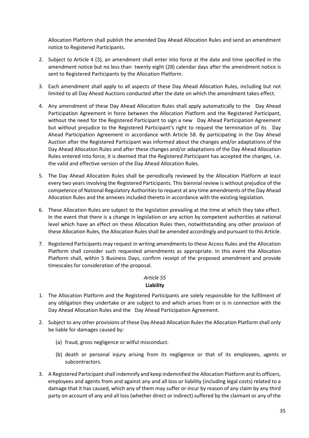Allocation Platform shall publish the amended Day Ahead Allocation Rules and send an amendment notice to Registered Participants.

- 2. Subject to Article 4 (3), an amendment shall enter into force at the date and time specified in the amendment notice but no less than twenty eight (28) calendar days after the amendment notice is sent to Registered Participants by the Allocation Platform.
- 3. Each amendment shall apply to all aspects of these Day Ahead Allocation Rules, including but not limited to all Day Ahead Auctions conducted after the date on which the amendment takes effect.
- 4. Any amendment of these Day Ahead Allocation Rules shall apply automatically to the Day Ahead Participation Agreement in force between the Allocation Platform and the Registered Participant, without the need for the Registered Participant to sign a new Day Ahead Participation Agreement but without prejudice to the Registered Participant's right to request the termination of its Day Ahead Participation Agreement in accordance with Article 58. By participating in the Day Ahead Auction after the Registered Participant was informed about the changes and/or adaptations of the Day Ahead Allocation Rules and after these changes and/or adaptations of the Day Ahead Allocation Rules entered into force, it is deemed that the Registered Participant has accepted the changes, i.e. the valid and effective version of the Day Ahead Allocation Rules.
- 5. The Day Ahead Allocation Rules shall be periodically reviewed by the Allocation Platform at least every two years involving the Registered Participants. This biennial review is without prejudice of the competence of National Regulatory Authorities to request at any time amendments of the Day Ahead Allocation Rules and the annexes included thereto in accordance with the existing legislation.
- 6. These Allocation Rules are subject to the legislation prevailing at the time at which they take effect. In the event that there is a change in legislation or any action by competent authorities at national level which have an effect on these Allocation Rules then, notwithstanding any other provision of these Allocation Rules, the Allocation Rules shall be amended accordingly and pursuant to this Article.
- 7. Registered Participants may request in writing amendments to these Access Rules and the Allocation Platform shall consider such requested amendments as appropriate. In this event the Allocation Platform shall, within 5 Business Days, confirm receipt of the proposed amendment and provide timescales for consideration of the proposal.

#### *Article 55* **Liability**

- <span id="page-34-0"></span>1. The Allocation Platform and the Registered Participants are solely responsible for the fulfilment of any obligation they undertake or are subject to and which arises from or is in connection with the Day Ahead Allocation Rules and the Day Ahead Participation Agreement.
- 2. Subject to any other provisions of these Day Ahead Allocation Rules the Allocation Platform shall only be liable for damages caused by:
	- (a) fraud, gross negligence or wilful misconduct.
	- (b) death or personal injury arising from its negligence or that of its employees, agents or subcontractors.
- 3. A Registered Participant shall indemnify and keep indemnified the Allocation Platform and its officers, employees and agents from and against any and all loss or liability (including legal costs) related to a damage that it has caused, which any of them may suffer or incur by reason of any claim by any third party on account of any and all loss (whether direct or indirect) suffered by the claimant or any of the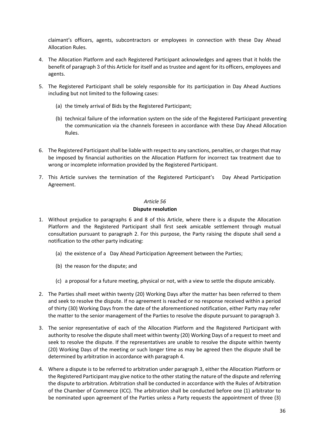claimant's officers, agents, subcontractors or employees in connection with these Day Ahead Allocation Rules.

- 4. The Allocation Platform and each Registered Participant acknowledges and agrees that it holds the benefit of paragraph 3 of this Article for itself and as trustee and agent for its officers, employees and agents.
- 5. The Registered Participant shall be solely responsible for its participation in Day Ahead Auctions including but not limited to the following cases:
	- (a) the timely arrival of Bids by the Registered Participant;
	- (b) technical failure of the information system on the side of the Registered Participant preventing the communication via the channels foreseen in accordance with these Day Ahead Allocation Rules.
- 6. The Registered Participant shall be liable with respect to any sanctions, penalties, or charges that may be imposed by financial authorities on the Allocation Platform for incorrect tax treatment due to wrong or incomplete information provided by the Registered Participant.
- 7. This Article survives the termination of the Registered Participant's Day Ahead Participation Agreement.

# *Article 56*

#### **Dispute resolution**

- <span id="page-35-0"></span>1. Without prejudice to paragraphs 6 and 8 of this Article, where there is a dispute the Allocation Platform and the Registered Participant shall first seek amicable settlement through mutual consultation pursuant to paragraph 2. For this purpose, the Party raising the dispute shall send a notification to the other party indicating:
	- (a) the existence of a Day Ahead Participation Agreement between the Parties;
	- (b) the reason for the dispute; and
	- (c) a proposal for a future meeting, physical or not, with a view to settle the dispute amicably.
- 2. The Parties shall meet within twenty (20) Working Days after the matter has been referred to them and seek to resolve the dispute. If no agreement is reached or no response received within a period of thirty (30) Working Days from the date of the aforementioned notification, either Party may refer the matter to the senior management of the Parties to resolve the dispute pursuant to paragraph 3.
- 3. The senior representative of each of the Allocation Platform and the Registered Participant with authority to resolve the dispute shall meet within twenty (20) Working Days of a request to meet and seek to resolve the dispute. If the representatives are unable to resolve the dispute within twenty (20) Working Days of the meeting or such longer time as may be agreed then the dispute shall be determined by arbitration in accordance with paragraph 4.
- 4. Where a dispute is to be referred to arbitration under paragraph 3, either the Allocation Platform or the Registered Participant may give notice to the other stating the nature of the dispute and referring the dispute to arbitration. Arbitration shall be conducted in accordance with the Rules of Arbitration of the Chamber of Commerce (ICC). The arbitration shall be conducted before one (1) arbitrator to be nominated upon agreement of the Parties unless a Party requests the appointment of three (3)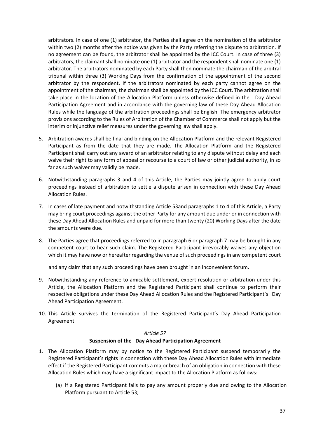arbitrators. In case of one (1) arbitrator, the Parties shall agree on the nomination of the arbitrator within two (2) months after the notice was given by the Party referring the dispute to arbitration. If no agreement can be found, the arbitrator shall be appointed by the ICC Court. In case of three (3) arbitrators, the claimant shall nominate one (1) arbitrator and the respondent shall nominate one (1) arbitrator. The arbitrators nominated by each Party shall then nominate the chairman of the arbitral tribunal within three (3) Working Days from the confirmation of the appointment of the second arbitrator by the respondent. If the arbitrators nominated by each party cannot agree on the appointment of the chairman, the chairman shall be appointed by the ICC Court. The arbitration shall take place in the location of the Allocation Platform unless otherwise defined in the Day Ahead Participation Agreement and in accordance with the governing law of these Day Ahead Allocation Rules while the language of the arbitration proceedings shall be English. The emergency arbitrator provisions according to the Rules of Arbitration of the Chamber of Commerce shall not apply but the interim or injunctive relief measures under the governing law shall apply.

- 5. Arbitration awards shall be final and binding on the Allocation Platform and the relevant Registered Participant as from the date that they are made. The Allocation Platform and the Registered Participant shall carry out any award of an arbitrator relating to any dispute without delay and each waive their right to any form of appeal or recourse to a court of law or other judicial authority, in so far as such waiver may validly be made.
- 6. Notwithstanding paragraphs 3 and 4 of this Article, the Parties may jointly agree to apply court proceedings instead of arbitration to settle a dispute arisen in connection with these Day Ahead Allocation Rules.
- 7. In cases of late payment and notwithstanding Article 53and paragraphs 1 to 4 of this Article, a Party may bring court proceedings against the other Party for any amount due under or in connection with these Day Ahead Allocation Rules and unpaid for more than twenty (20) Working Days after the date the amounts were due.
- 8. The Parties agree that proceedings referred to in paragraph 6 or paragraph 7 may be brought in any competent court to hear such claim. The Registered Participant irrevocably waives any objection which it may have now or hereafter regarding the venue of such proceedings in any competent court

and any claim that any such proceedings have been brought in an inconvenient forum.

- 9. Notwithstanding any reference to amicable settlement, expert resolution or arbitration under this Article, the Allocation Platform and the Registered Participant shall continue to perform their respective obligations under these Day Ahead Allocation Rules and the Registered Participant's Day Ahead Participation Agreement.
- 10. This Article survives the termination of the Registered Participant's Day Ahead Participation Agreement.

#### *Article 57*

#### **Suspension of the Day Ahead Participation Agreement**

- <span id="page-36-0"></span>1. The Allocation Platform may by notice to the Registered Participant suspend temporarily the Registered Participant's rights in connection with these Day Ahead Allocation Rules with immediate effect if the Registered Participant commits a major breach of an obligation in connection with these Allocation Rules which may have a significant impact to the Allocation Platform as follows:
	- (a) if a Registered Participant fails to pay any amount properly due and owing to the Allocation Platform pursuant to Article 53;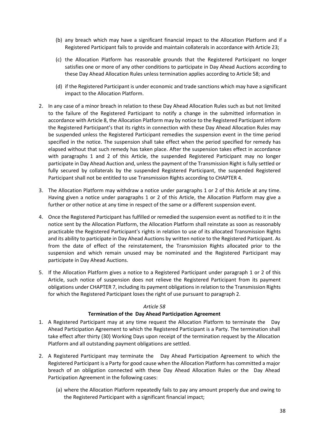- (b) any breach which may have a significant financial impact to the Allocation Platform and if a Registered Participant fails to provide and maintain collaterals in accordance with Article 23;
- (c) the Allocation Platform has reasonable grounds that the Registered Participant no longer satisfies one or more of any other conditions to participate in Day Ahead Auctions according to these Day Ahead Allocation Rules unless termination applies according to Article 58; and
- (d) if the Registered Participant is under economic and trade sanctions which may have a significant impact to the Allocation Platform.
- 2. In any case of a minor breach in relation to these Day Ahead Allocation Rules such as but not limited to the failure of the Registered Participant to notify a change in the submitted information in accordance with Article 8, the Allocation Platform may by notice to the Registered Participant inform the Registered Participant's that its rights in connection with these Day Ahead Allocation Rules may be suspended unless the Registered Participant remedies the suspension event in the time period specified in the notice. The suspension shall take effect when the period specified for remedy has elapsed without that such remedy has taken place. After the suspension takes effect in accordance with paragraphs 1 and 2 of this Article, the suspended Registered Participant may no longer participate in Day Ahead Auction and, unless the payment of the Transmission Right is fully settled or fully secured by collaterals by the suspended Registered Participant, the suspended Registered Participant shall not be entitled to use Transmission Rights according to CHAPTER 4.
- 3. The Allocation Platform may withdraw a notice under paragraphs 1 or 2 of this Article at any time. Having given a notice under paragraphs 1 or 2 of this Article, the Allocation Platform may give a further or other notice at any time in respect of the same or a different suspension event.
- 4. Once the Registered Participant has fulfilled or remedied the suspension event as notified to it in the notice sent by the Allocation Platform, the Allocation Platform shall reinstate as soon as reasonably practicable the Registered Participant's rights in relation to use of its allocated Transmission Rights and its ability to participate in Day Ahead Auctions by written notice to the Registered Participant. As from the date of effect of the reinstatement, the Transmission Rights allocated prior to the suspension and which remain unused may be nominated and the Registered Participant may participate in Day Ahead Auctions.
- 5. If the Allocation Platform gives a notice to a Registered Participant under paragraph 1 or 2 of this Article, such notice of suspension does not relieve the Registered Participant from its payment obligations under CHAPTER 7, including its payment obligations in relation to the Transmission Rights for which the Registered Participant loses the right of use pursuant to paragraph 2.

#### **Termination of the Day Ahead Participation Agreement**

- <span id="page-37-0"></span>1. A Registered Participant may at any time request the Allocation Platform to terminate the Day Ahead Participation Agreement to which the Registered Participant is a Party. The termination shall take effect after thirty (30) Working Days upon receipt of the termination request by the Allocation Platform and all outstanding payment obligations are settled.
- 2. A Registered Participant may terminate the Day Ahead Participation Agreement to which the Registered Participant is a Party for good cause when the Allocation Platform has committed a major breach of an obligation connected with these Day Ahead Allocation Rules or the Day Ahead Participation Agreement in the following cases:
	- (a) where the Allocation Platform repeatedly fails to pay any amount properly due and owing to the Registered Participant with a significant financial impact;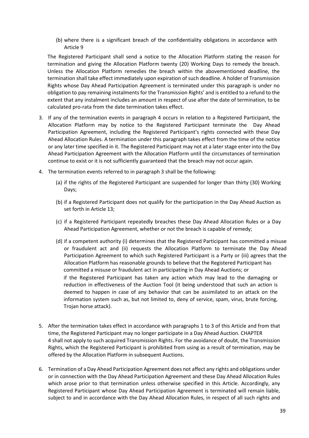(b) where there is a significant breach of the confidentiality obligations in accordance with Article 9

The Registered Participant shall send a notice to the Allocation Platform stating the reason for termination and giving the Allocation Platform twenty (20) Working Days to remedy the breach. Unless the Allocation Platform remedies the breach within the abovementioned deadline, the termination shall take effect immediately upon expiration of such deadline. A holder of Transmission Rights whose Day Ahead Participation Agreement is terminated under this paragraph is under no obligation to pay remaining instalments for the Transmission Rights' and is entitled to a refund to the extent that any instalment includes an amount in respect of use after the date of termination, to be calculated pro-rata from the date termination takes effect.

- 3. If any of the termination events in paragraph 4 occurs in relation to a Registered Participant, the Allocation Platform may by notice to the Registered Participant terminate the Day Ahead Participation Agreement, including the Registered Participant's rights connected with these Day Ahead Allocation Rules. A termination under this paragraph takes effect from the time of the notice or any later time specified in it. The Registered Participant may not at a later stage enter into the Day Ahead Participation Agreement with the Allocation Platform until the circumstances of termination continue to exist or it is not sufficiently guaranteed that the breach may not occur again.
- 4. The termination events referred to in paragraph 3 shall be the following:
	- (a) if the rights of the Registered Participant are suspended for longer than thirty (30) Working Days;
	- (b) if a Registered Participant does not qualify for the participation in the Day Ahead Auction as set forth in Article 13;
	- (c) if a Registered Participant repeatedly breaches these Day Ahead Allocation Rules or a Day Ahead Participation Agreement, whether or not the breach is capable of remedy;
	- (d) if a competent authority (i) determines that the Registered Participant has committed a misuse or fraudulent act and (ii) requests the Allocation Platform to terminate the Day Ahead Participation Agreement to which such Registered Participant is a Party or (iii) agrees that the Allocation Platform has reasonable grounds to believe that the Registered Participant has committed a misuse or fraudulent act in participating in Day Ahead Auctions; or if the Registered Participant has taken any action which may lead to the damaging or reduction in effectiveness of the Auction Tool (it being understood that such an action is deemed to happen in case of any behavior that can be assimilated to an attack on the information system such as, but not limited to, deny of service, spam, virus, brute forcing, Trojan horse attack).
- 5. After the termination takes effect in accordance with paragraphs 1 to 3 of this Article and from that time, the Registered Participant may no longer participate in a Day Ahead Auction. CHAPTER 4 shall not apply to such acquired Transmission Rights. For the avoidance of doubt, the Transmission Rights, which the Registered Participant is prohibited from using as a result of termination, may be offered by the Allocation Platform in subsequent Auctions.
- 6. Termination of a Day Ahead Participation Agreement does not affect any rights and obligations under or in connection with the Day Ahead Participation Agreement and these Day Ahead Allocation Rules which arose prior to that termination unless otherwise specified in this Article. Accordingly, any Registered Participant whose Day Ahead Participation Agreement is terminated will remain liable, subject to and in accordance with the Day Ahead Allocation Rules, in respect of all such rights and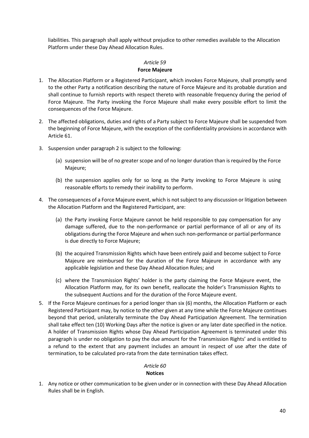liabilities. This paragraph shall apply without prejudice to other remedies available to the Allocation Platform under these Day Ahead Allocation Rules.

#### *Article 59*

#### **Force Majeure**

- <span id="page-39-0"></span>1. The Allocation Platform or a Registered Participant, which invokes Force Majeure, shall promptly send to the other Party a notification describing the nature of Force Majeure and its probable duration and shall continue to furnish reports with respect thereto with reasonable frequency during the period of Force Majeure. The Party invoking the Force Majeure shall make every possible effort to limit the consequences of the Force Majeure.
- 2. The affected obligations, duties and rights of a Party subject to Force Majeure shall be suspended from the beginning of Force Majeure, with the exception of the confidentiality provisions in accordance with Article 61.
- 3. Suspension under paragraph 2 is subject to the following:
	- (a) suspension will be of no greater scope and of no longer duration than is required by the Force Majeure;
	- (b) the suspension applies only for so long as the Party invoking to Force Majeure is using reasonable efforts to remedy their inability to perform.
- 4. The consequences of a Force Majeure event, which is not subject to any discussion or litigation between the Allocation Platform and the Registered Participant, are:
	- (a) the Party invoking Force Majeure cannot be held responsible to pay compensation for any damage suffered, due to the non-performance or partial performance of all or any of its obligations during the Force Majeure and when such non-performance or partial performance is due directly to Force Majeure;
	- (b) the acquired Transmission Rights which have been entirely paid and become subject to Force Majeure are reimbursed for the duration of the Force Majeure in accordance with any applicable legislation and these Day Ahead Allocation Rules; and
	- (c) where the Transmission Rights' holder is the party claiming the Force Majeure event, the Allocation Platform may, for its own benefit, reallocate the holder's Transmission Rights to the subsequent Auctions and for the duration of the Force Majeure event.
- 5. If the Force Majeure continues for a period longer than six (6) months, the Allocation Platform or each Registered Participant may, by notice to the other given at any time while the Force Majeure continues beyond that period, unilaterally terminate the Day Ahead Participation Agreement. The termination shall take effect ten (10) Working Days after the notice is given or any later date specified in the notice. A holder of Transmission Rights whose Day Ahead Participation Agreement is terminated under this paragraph is under no obligation to pay the due amount for the Transmission Rights' and is entitled to a refund to the extent that any payment includes an amount in respect of use after the date of termination, to be calculated pro-rata from the date termination takes effect.

# *Article 60*

#### **Notices**

<span id="page-39-1"></span>1. Any notice or other communication to be given under or in connection with these Day Ahead Allocation Rules shall be in English.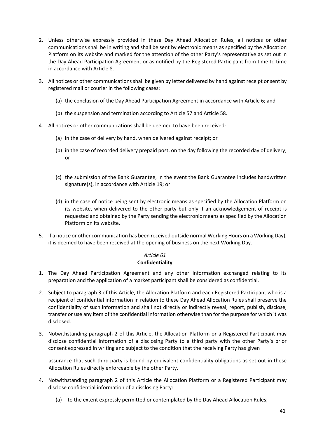- 2. Unless otherwise expressly provided in these Day Ahead Allocation Rules, all notices or other communications shall be in writing and shall be sent by electronic means as specified by the Allocation Platform on its website and marked for the attention of the other Party's representative as set out in the Day Ahead Participation Agreement or as notified by the Registered Participant from time to time in accordance with Article 8.
- 3. All notices or other communications shall be given by letter delivered by hand against receipt or sent by registered mail or courier in the following cases:
	- (a) the conclusion of the Day Ahead Participation Agreement in accordance with Article 6; and
	- (b) the suspension and termination according to Article 57 and Article 58.
- 4. All notices or other communications shall be deemed to have been received:
	- (a) in the case of delivery by hand, when delivered against receipt; or
	- (b) in the case of recorded delivery prepaid post, on the day following the recorded day of delivery; or
	- (c) the submission of the Bank Guarantee, in the event the Bank Guarantee includes handwritten signature(s), in accordance with Article 19; or
	- (d) in the case of notice being sent by electronic means as specified by the Allocation Platform on its website, when delivered to the other party but only if an acknowledgement of receipt is requested and obtained by the Party sending the electronic means as specified by the Allocation Platform on its website.
- 5. If a notice or other communication has been received outside normal Working Hours on a Working Day), it is deemed to have been received at the opening of business on the next Working Day.

#### **Confidentiality**

- <span id="page-40-0"></span>1. The Day Ahead Participation Agreement and any other information exchanged relating to its preparation and the application of a market participant shall be considered as confidential.
- 2. Subject to paragraph 3 of this Article, the Allocation Platform and each Registered Participant who is a recipient of confidential information in relation to these Day Ahead Allocation Rules shall preserve the confidentiality of such information and shall not directly or indirectly reveal, report, publish, disclose, transfer or use any item of the confidential information otherwise than for the purpose for which it was disclosed.
- 3. Notwithstanding paragraph 2 of this Article, the Allocation Platform or a Registered Participant may disclose confidential information of a disclosing Party to a third party with the other Party's prior consent expressed in writing and subject to the condition that the receiving Party has given

assurance that such third party is bound by equivalent confidentiality obligations as set out in these Allocation Rules directly enforceable by the other Party.

- 4. Notwithstanding paragraph 2 of this Article the Allocation Platform or a Registered Participant may disclose confidential information of a disclosing Party:
	- (a) to the extent expressly permitted or contemplated by the Day Ahead Allocation Rules;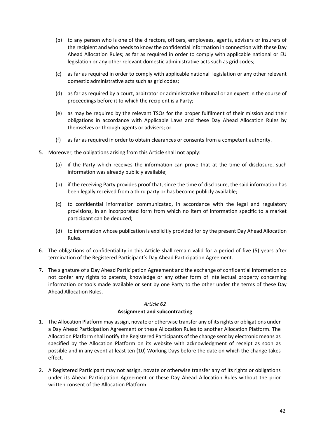- (b) to any person who is one of the directors, officers, employees, agents, advisers or insurers of the recipient and who needs to know the confidential information in connection with these Day Ahead Allocation Rules; as far as required in order to comply with applicable national or EU legislation or any other relevant domestic administrative acts such as grid codes;
- (c) as far as required in order to comply with applicable national legislation or any other relevant domestic administrative acts such as grid codes;
- (d) as far as required by a court, arbitrator or administrative tribunal or an expert in the course of proceedings before it to which the recipient is a Party;
- (e) as may be required by the relevant TSOs for the proper fulfilment of their mission and their obligations in accordance with Applicable Laws and these Day Ahead Allocation Rules by themselves or through agents or advisers; or
- (f) as far as required in order to obtain clearances or consents from a competent authority.
- 5. Moreover, the obligations arising from this Article shall not apply:
	- (a) if the Party which receives the information can prove that at the time of disclosure, such information was already publicly available;
	- (b) if the receiving Party provides proof that, since the time of disclosure, the said information has been legally received from a third party or has become publicly available;
	- (c) to confidential information communicated, in accordance with the legal and regulatory provisions, in an incorporated form from which no item of information specific to a market participant can be deduced;
	- (d) to information whose publication is explicitly provided for by the present Day Ahead Allocation Rules.
- 6. The obligations of confidentiality in this Article shall remain valid for a period of five (5) years after termination of the Registered Participant's Day Ahead Participation Agreement.
- 7. The signature of a Day Ahead Participation Agreement and the exchange of confidential information do not confer any rights to patents, knowledge or any other form of intellectual property concerning information or tools made available or sent by one Party to the other under the terms of these Day Ahead Allocation Rules.

#### **Assignment and subcontracting**

- <span id="page-41-0"></span>1. The Allocation Platform may assign, novate or otherwise transfer any of its rights or obligations under a Day Ahead Participation Agreement or these Allocation Rules to another Allocation Platform. The Allocation Platform shall notify the Registered Participants of the change sent by electronic means as specified by the Allocation Platform on its website with acknowledgment of receipt as soon as possible and in any event at least ten (10) Working Days before the date on which the change takes effect.
- 2. A Registered Participant may not assign, novate or otherwise transfer any of its rights or obligations under its Ahead Participation Agreement or these Day Ahead Allocation Rules without the prior written consent of the Allocation Platform.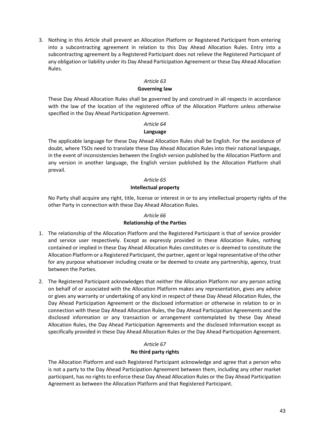3. Nothing in this Article shall prevent an Allocation Platform or Registered Participant from entering into a subcontracting agreement in relation to this Day Ahead Allocation Rules. Entry into a subcontracting agreement by a Registered Participant does not relieve the Registered Participant of any obligation or liability under its Day Ahead Participation Agreement or these Day Ahead Allocation Rules.

#### *Article 63*

#### **Governing law**

<span id="page-42-0"></span>These Day Ahead Allocation Rules shall be governed by and construed in all respects in accordance with the law of the location of the registered office of the Allocation Platform unless otherwise specified in the Day Ahead Participation Agreement.

#### *Article 64*

#### **Language**

<span id="page-42-1"></span>The applicable language for these Day Ahead Allocation Rules shall be English. For the avoidance of doubt, where TSOs need to translate these Day Ahead Allocation Rules into their national language, in the event of inconsistencies between the English version published by the Allocation Platform and any version in another language, the English version published by the Allocation Platform shall prevail.

#### *Article 65*

#### **Intellectual property**

<span id="page-42-2"></span>No Party shall acquire any right, title, license or interest in or to any intellectual property rights of the other Party in connection with these Day Ahead Allocation Rules.

#### *Article 66*

#### **Relationship of the Parties**

- <span id="page-42-3"></span>1. The relationship of the Allocation Platform and the Registered Participant is that of service provider and service user respectively. Except as expressly provided in these Allocation Rules, nothing contained or implied in these Day Ahead Allocation Rules constitutes or is deemed to constitute the Allocation Platform or a Registered Participant, the partner, agent or legal representative of the other for any purpose whatsoever including create or be deemed to create any partnership, agency, trust between the Parties.
- 2. The Registered Participant acknowledges that neither the Allocation Platform nor any person acting on behalf of or associated with the Allocation Platform makes any representation, gives any advice or gives any warranty or undertaking of any kind in respect of these Day Ahead Allocation Rules, the Day Ahead Participation Agreement or the disclosed information or otherwise in relation to or in connection with these Day Ahead Allocation Rules, the Day Ahead Participation Agreements and the disclosed information or any transaction or arrangement contemplated by these Day Ahead Allocation Rules, the Day Ahead Participation Agreements and the disclosed Information except as specifically provided in these Day Ahead Allocation Rules or the Day Ahead Participation Agreement.

# *Article 67*

#### **No third party rights**

<span id="page-42-4"></span>The Allocation Platform and each Registered Participant acknowledge and agree that a person who is not a party to the Day Ahead Participation Agreement between them, including any other market participant, has no rights to enforce these Day Ahead Allocation Rules or the Day Ahead Participation Agreement as between the Allocation Platform and that Registered Participant.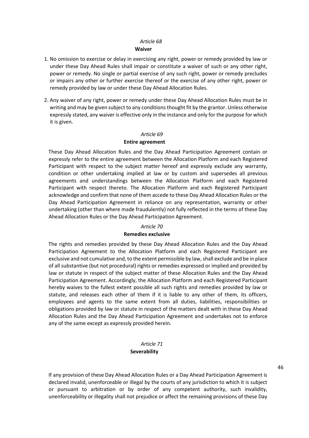#### *Article 68* **Waiver**

- <span id="page-43-0"></span>1. No omission to exercise or delay in exercising any right, power or remedy provided by law or under these Day Ahead Rules shall impair or constitute a waiver of such or any other right, power or remedy. No single or partial exercise of any such right, power or remedy precludes or impairs any other or further exercise thereof or the exercise of any other right, power or remedy provided by law or under these Day Ahead Allocation Rules.
- 2. Any waiver of any right, power or remedy under these Day Ahead Allocation Rules must be in writing and may be given subject to any conditions thought fit by the grantor. Unless otherwise expressly stated, any waiver is effective only in the instance and only for the purpose for which it is given.

#### *Article 69*

#### **Entire agreement**

<span id="page-43-1"></span>These Day Ahead Allocation Rules and the Day Ahead Participation Agreement contain or expressly refer to the entire agreement between the Allocation Platform and each Registered Participant with respect to the subject matter hereof and expressly exclude any warranty, condition or other undertaking implied at law or by custom and supersedes all previous agreements and understandings between the Allocation Platform and each Registered Participant with respect thereto. The Allocation Platform and each Registered Participant acknowledge and confirm that none of them accede to these Day Ahead Allocation Rules or the Day Ahead Participation Agreement in reliance on any representation, warranty or other undertaking (other than where made fraudulently) not fully reflected in the terms of these Day Ahead Allocation Rules or the Day Ahead Participation Agreement.

#### *Article 70*

#### **Remedies exclusive**

<span id="page-43-2"></span>The rights and remedies provided by these Day Ahead Allocation Rules and the Day Ahead Participation Agreement to the Allocation Platform and each Registered Participant are exclusive and not cumulative and, to the extent permissible by law, shall exclude and be in place of all substantive (but not procedural) rights or remedies expressed or implied and provided by law or statute in respect of the subject matter of these Allocation Rules and the Day Ahead Participation Agreement. Accordingly, the Allocation Platform and each Registered Participant hereby waives to the fullest extent possible all such rights and remedies provided by law or statute, and releases each other of them if it is liable to any other of them, its officers, employees and agents to the same extent from all duties, liabilities, responsibilities or obligations provided by law or statute in respect of the matters dealt with in these Day Ahead Allocation Rules and the Day Ahead Participation Agreement and undertakes not to enforce any of the same except as expressly provided herein.

#### *Article 71* **Severability**

<span id="page-43-3"></span>If any provision of these Day Ahead Allocation Rules or a Day Ahead Participation Agreement is declared invalid, unenforceable or illegal by the courts of any jurisdiction to which it is subject or pursuant to arbitration or by order of any competent authority, such invalidity, unenforceability or illegality shall not prejudice or affect the remaining provisions of these Day 46